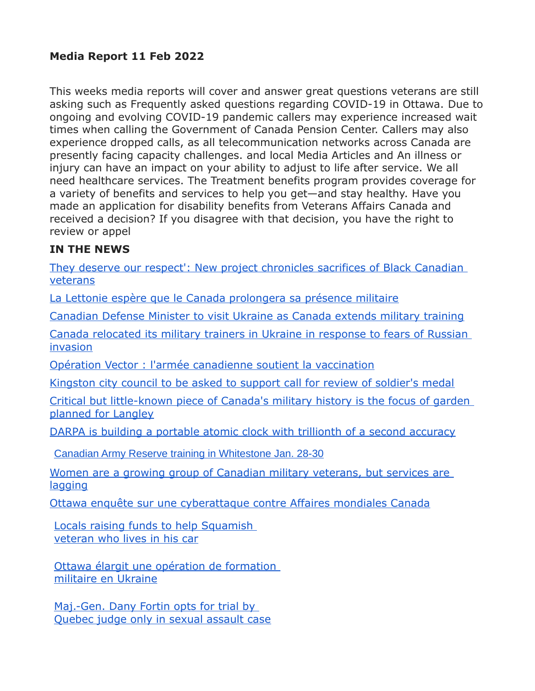### **Media Report 11 Feb 2022**

This weeks media reports will cover and answer great questions veterans are still asking such as Frequently asked questions regarding COVID-19 in Ottawa. Due to ongoing and evolving COVID-19 pandemic callers may experience increased wait times when calling the Government of Canada Pension Center. Callers may also experience dropped calls, as all telecommunication networks across Canada are presently facing capacity challenges. and local Media Articles and An illness or injury can have an impact on your ability to adjust to life after service. We all need healthcare services. The Treatment benefits program provides coverage for a variety of benefits and services to help you get—and stay healthy. Have you made an application for disability benefits from Veterans Affairs Canada and received a decision? If you disagree with that decision, you have the right to review or appel

#### **IN THE NEWS**

[They deserve our respect': New project chronicles sacrifices of Black Canadian](http://sm1.multiview.com/t/gcH1AAcbaBPWMJG8QLBCvCTG~WaaCCvFQRUoaaaaCCvBQ4-OW5aa?r=vcfZtYpqhggjf~2522Zgjn.lgr~amp;f=rgbdpcludkcnb~256ydcnj.pcv~amp;j=z~amp;v=)  [veterans](http://sm1.multiview.com/t/gcH1AAcbaBPWMJG8QLBCvCTG~WaaCCvFQRUoaaaaCCvBQ4-OW5aa?r=vcfZtYpqhggjf~2522Zgjn.lgr~amp;f=rgbdpcludkcnb~256ydcnj.pcv~amp;j=z~amp;v=)

[La Lettonie espère que le Canada prolongera sa présence militaire](http://sm1.multiview.com/t/gcH1AAcbaBPWMJG8QLBCvCTG~WaaCCvFQRUoaaaaCCvBQ4-OW5aa?r=vcfZtYpqhggjf~2522Zgjn.lgr~amp;f=rgbdpcludkcnb~256ydcnj.pcv~amp;j=1~amp;v=)

[Canadian Defense Minister to visit Ukraine as Canada extends military training](http://sm1.multiview.com/t/gcH1AAcbaBPWMJG8QLBCvCTG~WaaCCvFQRUoaaaaCCvBQ4-OW5aa?r=vcfZtYpqhggjf~2522Zgjn.lgr~amp;f=rgbdpcludkcnb~256ydcnj.pcv~amp;j=7~amp;v=)

[Canada relocated its military trainers in Ukraine in response to fears of Russian](http://sm1.multiview.com/t/gcH1AAcbaBPWMJG8QLBCvCTG~WaaCCvFQRUoaaaaCCvBQ4-OW5aa?r=vcfZtYpqhggjf~2522Zgjn.lgr~amp;f=rgbdpcludkcnb~256ydcnj.pcv~amp;j=9~amp;v=)  [invasion](http://sm1.multiview.com/t/gcH1AAcbaBPWMJG8QLBCvCTG~WaaCCvFQRUoaaaaCCvBQ4-OW5aa?r=vcfZtYpqhggjf~2522Zgjn.lgr~amp;f=rgbdpcludkcnb~256ydcnj.pcv~amp;j=9~amp;v=)

[Opération Vector : l'armée canadienne soutient la vaccination](http://sm1.multiview.com/t/gcH1AAcbaBPWMJG8QLBCvCTG~WaaCCvFQRUoaaaaCCvBQ4-OW5aa?r=vcfZtYpqhggjf~2522Zgjn.lgr~amp;f=rgbdpcludkcnb~256ydcnj.pcv~amp;j=B~amp;v=)

[Kingston city council to be asked to support call for review of soldier's medal](http://sm1.multiview.com/t/gcH1AAcbaBPWMJG8QLBCvCTG~WaaCCvFQRUoaaaaCCvBQ4-OW5aa?r=vcfZtYpqhggjf~2522Zgjn.lgr~amp;f=rgbdpcludkcnb~256ydcnj.pcv~amp;j=DZ~amp;z=)

[Critical but little-known piece of Canada's military history is the focus of garden](http://sm1.multiview.com/t/gcH1AAcbaBPWMJG8QLBCvCTG~WaaCCvFQRUoaaaaCCvBQ4-OW5aa?r=vcfZtYpqhggjf~2522Zgjn.lgr~amp;f=rgbdpcludkcnb~256ydcnj.pcv~amp;j=Db~amp;z=)  [planned for Langley](http://sm1.multiview.com/t/gcH1AAcbaBPWMJG8QLBCvCTG~WaaCCvFQRUoaaaaCCvBQ4-OW5aa?r=vcfZtYpqhggjf~2522Zgjn.lgr~amp;f=rgbdpcludkcnb~256ydcnj.pcv~amp;j=Db~amp;z=)

[DARPA is building a portable atomic clock with trillionth of a second accuracy](http://sm1.multiview.com/t/gcH1AAcbaBPWMJG8QLBCvCTG~WaaCCvFQRUoaaaaCCvBQ4-OW5aa?r=vcfZtYpqhggjf~2522Zgjn.lgr~amp;f=rgbdpcludkcnb~256ydcnj.pcv~amp;j=Df~amp;z=)

[Canadian Army Reserve training in Whitestone Jan. 28-30](http://sm1.multiview.com/t/gcH1AAkbaBPWMFZnQK3-gCSVnWaaCCwFQRUoaaaaCCwBQ4IAC9aa?j=B_sBtE~amp;T=3UnR1QxipYobn~25uARobv.doj~amp;v=b~amp;7=)

[Women are a growing group of Canadian military veterans, but services are](http://sm1.multiview.com/t/gcH1AAkbaBPWMFZnQK3-gCSVnWaaCCwFQRUoaaaaCCwBQ4IAC9aa?j=B_sBtE~amp;T=3UnR1QxipYobn~25uARobv.doj~amp;v=d~amp;7=)  [lagging](http://sm1.multiview.com/t/gcH1AAkbaBPWMFZnQK3-gCSVnWaaCCwFQRUoaaaaCCwBQ4IAC9aa?j=B_sBtE~amp;T=3UnR1QxipYobn~25uARobv.doj~amp;v=d~amp;7=)

[Ottawa enquête sur une cyberattaque contre Affaires mondiales Canada](http://sm1.multiview.com/t/gcH1AAkbaBPWMFZnQK3-gCSVnWaaCCwFQRUoaaaaCCwBQ4IAC9aa?j=B_sBtE~amp;T=3UnR1QxipYobn~25uARobv.doj~amp;v=f~amp;7=)

[Locals raising funds to help Squamish](http://sm1.multiview.com/t/gcH1AAkbaBPWMFZnQK3-gCSVnWaaCCwFQRUoaaaaCCwBQ4IAC9aa?j=B_sBtE~amp;T=3UnR1QxipYobn~25uARobv.doj~amp;v=X~amp;7=)  [veteran who lives in his car](http://sm1.multiview.com/t/gcH1AAkbaBPWMFZnQK3-gCSVnWaaCCwFQRUoaaaaCCwBQ4IAC9aa?j=B_sBtE~amp;T=3UnR1QxipYobn~25uARobv.doj~amp;v=X~amp;7=)

[Ottawa élargit une opération de formation](http://sm1.multiview.com/t/gcH1AAkbaBPWMFZnQK3-gCSVnWaaCCwFQRUoaaaaCCwBQ4IAC9aa?j=B_sBtE~amp;T=3UnR1QxipYobn~25uARobv.doj~amp;v=Z~amp;7=)  [militaire en Ukraine](http://sm1.multiview.com/t/gcH1AAkbaBPWMFZnQK3-gCSVnWaaCCwFQRUoaaaaCCwBQ4IAC9aa?j=B_sBtE~amp;T=3UnR1QxipYobn~25uARobv.doj~amp;v=Z~amp;7=)

Maj.-Gen. Dany Fortin opts for trial by [Quebec judge only in sexual assault case](http://sm1.multiview.com/t/gcH1AAkbaBPWMFZnQK3-gCSVnWaaCCwFQRUoaaaaCCwBQ4IAC9aa?j=B_sBtE~amp;T=3UnR1QxipYobn~25uARobv.doj~amp;v=h~amp;7=)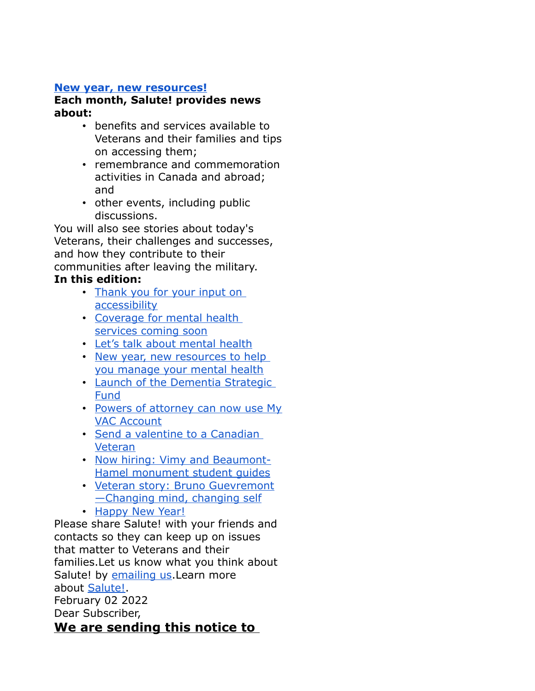#### **[New year, new resources!](https://www.veterans.gc.ca/eng/about-vac/news-media/salute/2022-01?utm_source=MVA&utm_medium=Salute&utm_campaign=January22)**

#### **Each month, Salute! provides news about:**

- benefits and services available to Veterans and their families and tips on accessing them;
- remembrance and commemoration activities in Canada and abroad; and
- other events, including public discussions.

You will also see stories about today's Veterans, their challenges and successes, and how they contribute to their communities after leaving the military.

### **In this edition:**

- Thank you for your input on [accessibility](https://www.veterans.gc.ca/eng/about-vac/news-media/salute/2022-01?utm_source=MVA&utm_medium=Salute&utm_campaign=January22#1)
- [Coverage for mental health](https://www.veterans.gc.ca/eng/about-vac/news-media/salute/2022-01?utm_source=MVA&utm_medium=Salute&utm_campaign=January22#2)  [services coming soon](https://www.veterans.gc.ca/eng/about-vac/news-media/salute/2022-01?utm_source=MVA&utm_medium=Salute&utm_campaign=January22#2)
- [Let's talk about mental health](https://www.veterans.gc.ca/eng/about-vac/news-media/salute/2022-01?utm_source=MVA&utm_medium=Salute&utm_campaign=January22#3)
- [New year, new resources to help](https://www.veterans.gc.ca/eng/about-vac/news-media/salute/2022-01?utm_source=MVA&utm_medium=Salute&utm_campaign=January22#4)  [you manage your mental health](https://www.veterans.gc.ca/eng/about-vac/news-media/salute/2022-01?utm_source=MVA&utm_medium=Salute&utm_campaign=January22#4)
- Launch of the Dementia Strategic [Fund](https://www.veterans.gc.ca/eng/about-vac/news-media/salute/2022-01?utm_source=MVA&utm_medium=Salute&utm_campaign=January22#5)
- [Powers of attorney can now use My](https://www.veterans.gc.ca/eng/about-vac/news-media/salute/2022-01?utm_source=MVA&utm_medium=Salute&utm_campaign=January22#6) [VAC Account](https://www.veterans.gc.ca/eng/about-vac/news-media/salute/2022-01?utm_source=MVA&utm_medium=Salute&utm_campaign=January22#6)
- [Send a valentine to a Canadian](https://www.veterans.gc.ca/eng/about-vac/news-media/salute/2022-01?utm_source=MVA&utm_medium=Salute&utm_campaign=January22#7)  [Veteran](https://www.veterans.gc.ca/eng/about-vac/news-media/salute/2022-01?utm_source=MVA&utm_medium=Salute&utm_campaign=January22#7)
- [Now hiring: Vimy and Beaumont-](https://www.veterans.gc.ca/eng/about-vac/news-media/salute/2022-01?utm_source=MVA&utm_medium=Salute&utm_campaign=January22#8)[Hamel monument student guides](https://www.veterans.gc.ca/eng/about-vac/news-media/salute/2022-01?utm_source=MVA&utm_medium=Salute&utm_campaign=January22#8)
- [Veteran story: Bruno Guevremont](https://www.veterans.gc.ca/eng/about-vac/news-media/salute/2022-01?utm_source=MVA&utm_medium=Salute&utm_campaign=January22#9) [—Changing mind, changing self](https://www.veterans.gc.ca/eng/about-vac/news-media/salute/2022-01?utm_source=MVA&utm_medium=Salute&utm_campaign=January22#9)
- [Happy New Year!](https://www.veterans.gc.ca/eng/about-vac/news-media/salute/2022-01?utm_source=MVA&utm_medium=Salute&utm_campaign=January22#10)

Please share Salute! with your friends and contacts so they can keep up on issues that matter to Veterans and their families.Let us know what you think about Salute! by [emailing us.](mailto:consultation@veterans.gc.ca) Learn more about [Salute!.](http://10.199.41.150/eng/about-vac/news-media/salute) February 02 2022 Dear Subscriber, **We are sending this notice to**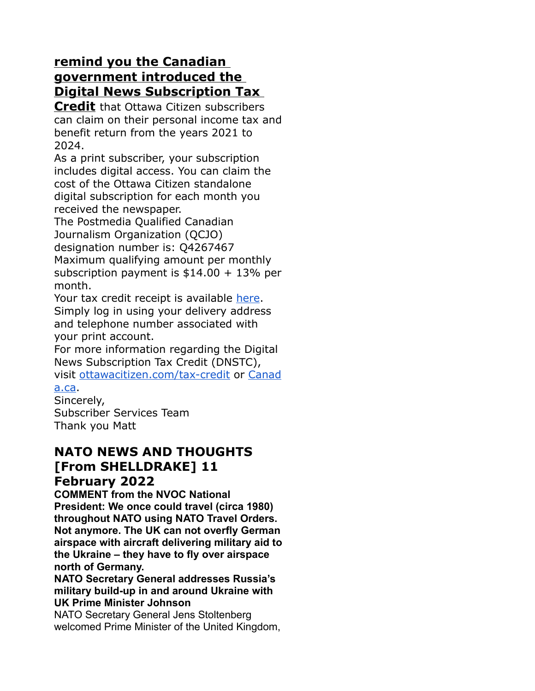## **remind you the Canadian government introduced the Digital News Subscription Tax**

**Credit** that Ottawa Citizen subscribers can claim on their personal income tax and benefit return from the years 2021 to 2024.

As a print subscriber, your subscription includes digital access. You can claim the cost of the Ottawa Citizen standalone digital subscription for each month you received the newspaper.

The Postmedia Qualified Canadian Journalism Organization (QCJO) designation number is: Q4267467 Maximum qualifying amount per monthly subscription payment is  $$14.00 + 13\%$  per month.

Your tax credit receipt is available [here.](https://link.calgaryherald.com/click/26569930.17322/aHR0cHM6Ly9pc2QtY2Itbm9ydGguY29tL290dGF3YWNpdGl6ZW4vbG9naW4uYXNweA/5b042e4f2ddf9c2508defdfdB40a0bc83) Simply log in using your delivery address and telephone number associated with your print account.

For more information regarding the Digital News Subscription Tax Credit (DNSTC), visit [ottawacitizen.com/tax-credit](https://link.calgaryherald.com/click/26569930.17322/aHR0cDovL290dGF3YWNpdGl6ZW4uY29tL3RheC1jcmVkaXQ/5b042e4f2ddf9c2508defdfdB8e4e65d6) or [Canad](https://link.calgaryherald.com/click/26569930.17322/aHR0cDovL2NhbmFkYS5jYQ/5b042e4f2ddf9c2508defdfdBef859ad1)

### [a.ca.](https://link.calgaryherald.com/click/26569930.17322/aHR0cDovL2NhbmFkYS5jYQ/5b042e4f2ddf9c2508defdfdBef859ad1)

Sincerely, Subscriber Services Team Thank you Matt

### **NATO NEWS AND THOUGHTS [From SHELLDRAKE] 11 February 2022**

**COMMENT from the NVOC National President: We once could travel (circa 1980) throughout NATO using NATO Travel Orders. Not anymore. The UK can not overfly German airspace with aircraft delivering military aid to the Ukraine – they have to fly over airspace north of Germany.**

**NATO Secretary General addresses Russia's military build-up in and around Ukraine with UK Prime Minister Johnson**

NATO Secretary General Jens Stoltenberg welcomed Prime Minister of the United Kingdom,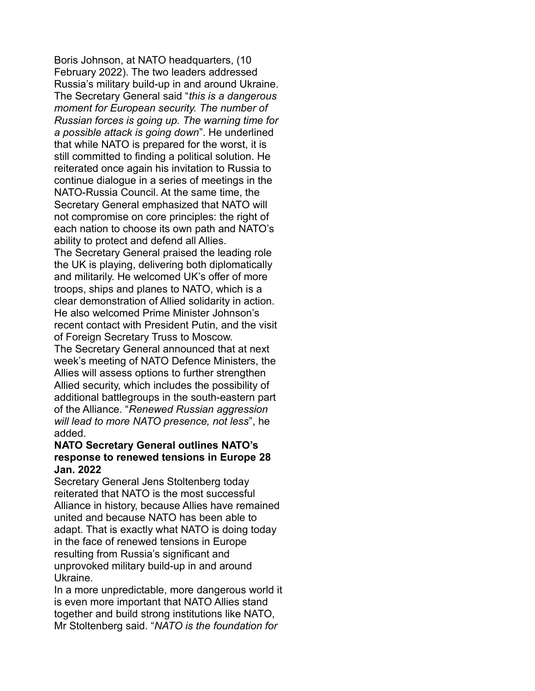Boris Johnson, at NATO headquarters, (10 February 2022). The two leaders addressed Russia's military build-up in and around Ukraine. The Secretary General said "*this is a dangerous moment for European security. The number of Russian forces is going up. The warning time for a possible attack is going down*". He underlined that while NATO is prepared for the worst, it is still committed to finding a political solution. He reiterated once again his invitation to Russia to continue dialogue in a series of meetings in the NATO-Russia Council. At the same time, the Secretary General emphasized that NATO will not compromise on core principles: the right of each nation to choose its own path and NATO's ability to protect and defend all Allies. The Secretary General praised the leading role the UK is playing, delivering both diplomatically and militarily. He welcomed UK's offer of more troops, ships and planes to NATO, which is a clear demonstration of Allied solidarity in action. He also welcomed Prime Minister Johnson's recent contact with President Putin, and the visit of Foreign Secretary Truss to Moscow. The Secretary General announced that at next week's meeting of NATO Defence Ministers, the Allies will assess options to further strengthen Allied security, which includes the possibility of additional battlegroups in the south-eastern part of the Alliance. "*Renewed Russian aggression will lead to more NATO presence, not less*", he added.

#### **NATO Secretary General outlines NATO's response to renewed tensions in Europe 28 Jan. 2022**

Secretary General Jens Stoltenberg today reiterated that NATO is the most successful Alliance in history, because Allies have remained united and because NATO has been able to adapt. That is exactly what NATO is doing today in the face of renewed tensions in Europe resulting from Russia's significant and unprovoked military build-up in and around Ukraine.

In a more unpredictable, more dangerous world it is even more important that NATO Allies stand together and build strong institutions like NATO, Mr Stoltenberg said. "*NATO is the foundation for*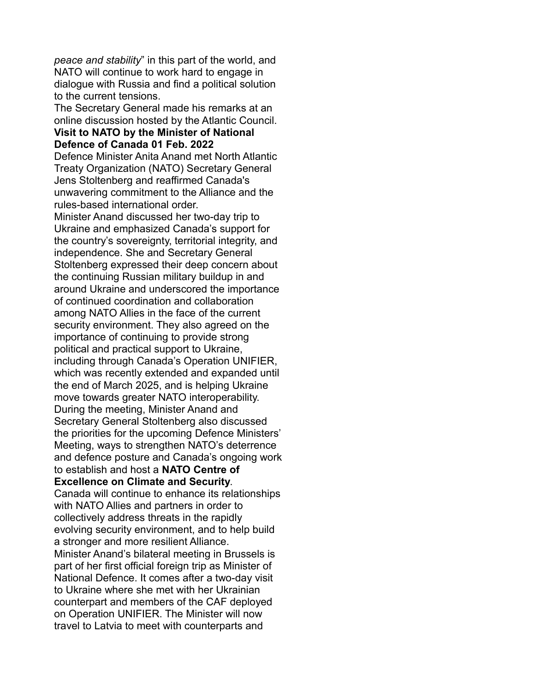*peace and stability*" in this part of the world, and NATO will continue to work hard to engage in dialogue with Russia and find a political solution to the current tensions.

The Secretary General made his remarks at an online discussion hosted by the Atlantic Council.

#### **Visit to NATO by the Minister of National Defence of Canada 01 Feb. 2022**

Defence Minister Anita Anand met North Atlantic Treaty Organization (NATO) Secretary General Jens Stoltenberg and reaffirmed Canada's unwavering commitment to the Alliance and the rules-based international order.

Minister Anand discussed her two-day trip to Ukraine and emphasized Canada's support for the country's sovereignty, territorial integrity, and independence. She and Secretary General Stoltenberg expressed their deep concern about the continuing Russian military buildup in and around Ukraine and underscored the importance of continued coordination and collaboration among NATO Allies in the face of the current security environment. They also agreed on the importance of continuing to provide strong political and practical support to Ukraine, including through Canada's Operation UNIFIER, which was recently extended and expanded until the end of March 2025, and is helping Ukraine move towards greater NATO interoperability. During the meeting, Minister Anand and Secretary General Stoltenberg also discussed the priorities for the upcoming Defence Ministers' Meeting, ways to strengthen NATO's deterrence and defence posture and Canada's ongoing work to establish and host a **NATO Centre of Excellence on Climate and Security**. Canada will continue to enhance its relationships with NATO Allies and partners in order to collectively address threats in the rapidly evolving security environment, and to help build

a stronger and more resilient Alliance. Minister Anand's bilateral meeting in Brussels is part of her first official foreign trip as Minister of National Defence. It comes after a two-day visit to Ukraine where she met with her Ukrainian counterpart and members of the CAF deployed on Operation UNIFIER. The Minister will now travel to Latvia to meet with counterparts and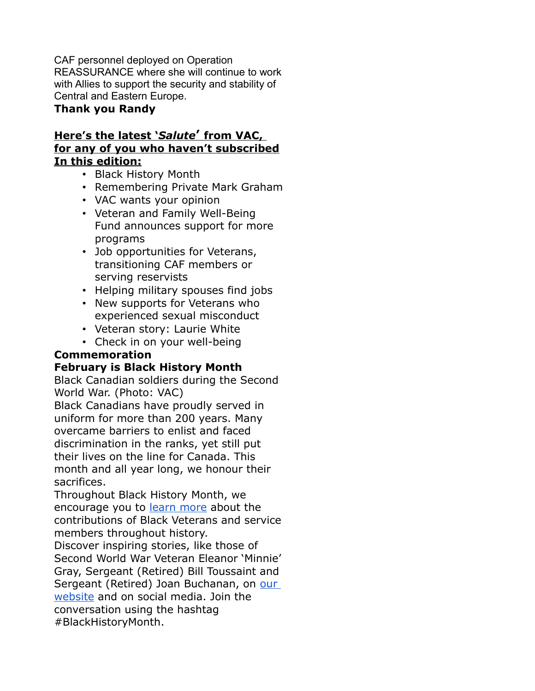CAF personnel deployed on Operation REASSURANCE where she will continue to work with Allies to support the security and stability of Central and Eastern Europe.

#### **Thank you Randy**

#### **Here's the latest '** *Salute* **'from VAC, for any of you who haven't subscribed In this edition:**

- Black History Month
- Remembering Private Mark Graham
- VAC wants your opinion
- Veteran and Family Well-Being Fund announces support for more programs
- Job opportunities for Veterans, transitioning CAF members or serving reservists
- Helping military spouses find jobs
- New supports for Veterans who experienced sexual misconduct
- Veteran story: Laurie White

• Check in on your well-being

### **Commemoration**

### **February is Black History Month**

Black Canadian soldiers during the Second World War. (Photo: VAC)

Black Canadians have proudly served in uniform for more than 200 years. Many overcame barriers to enlist and faced discrimination in the ranks, yet still put their lives on the line for Canada. This month and all year long, we honour their sacrifices.

Throughout Black History Month, we encourage you to [learn more](https://emails.engagementhq.com/ls/click?upn=9vcdD193qA8wVAWAMcxkDVIHwbevMrQOoPXLdn6t48o9ZR1vuKXRVYuSD-2FMayQpkDXi2K5vVGxaYz8BQBcrBnUe73L-2BG3ml0VzSy7xH6lwrFvTNnNmU0P0rKN8WQ-2FsZMnr-2FGlRfRgiZRPK-2BREZ7PifW6gXSMhjrPzWX8QP3pWvbo60YO19hH3orLIoB-2BxeJM-2FbCHjsOKgr0lSOTqrOrd7SboBwRtIt5DtYCuBR7aad277FbQNeyWo87Nug01hlkxLsSRsh-2FyZk1bMKYKkEh5EPQ8qARKxXXjVl5Slih4osU-3D1RRm_Qr-2FEWZZ2NSxEuYyz1vGYovtWkAk6eSF1GO3rpwK32i08-2FbwVB1-2BCpm8Ts67KVEP6hFppUw4JVXlKkEt5Q3WUjrHytlaCTL-2FueyTA-2BNI-2BL5Bk-2B1C0fZR23hcuhp32lD6y6fqOAms8Pk3LyfcBfchbVmA-2B4B-2BXJ4LINc8bp9ByZ1N6YoRyZAf6Iv3gPKgr64-2B0KvFP60SRV1mbyVrC-2BCVO8KKmhlOaPLv-2BuBH3WXTKhQUfgKRPU6wHFvwhqpL-2FJOGFvzogg1d7sbL8S5SYC2Ng1A-3D-3D) about the contributions of Black Veterans and service members throughout history.

Discover inspiring stories, like those of Second World War Veteran Eleanor 'Minnie' Gray, Sergeant (Retired) Bill Toussaint and Sergeant (Retired) Joan Buchanan, on [our](https://emails.engagementhq.com/ls/click?upn=9vcdD193qA8wVAWAMcxkDVIHwbevMrQOoPXLdn6t48o9ZR1vuKXRVYuSD-2FMayQpkDXi2K5vVGxaYz8BQBcrBnbUzaiDpDCLU52x-2FmU11-2Bwst-2BnLeRVxdkdm8F2qyDmekLsQoVVDAwwtM-2BsN9aZwJl-2F1hoGecBSYhyXppytE4RI-2BqQBrO70DjUYhTRqj5YWjET13N-2BkTLZ1qfhmORt-2BYSf18-2Bd1HpZ-2FHltk0nG1p1q3jKn1C6drAxk7EW86B5ynaq8OCXqQuy7aGL2D8SQW-2FxmiWBGOAUTT2NeN9o1HK66js-3DG-BB_Qr-2FEWZZ2NSxEuYyz1vGYovtWkAk6eSF1GO3rpwK32i08-2FbwVB1-2BCpm8Ts67KVEP6PWsszf-2F6zE4eY7EdfzWib1u9zxr4oXk9RFjfYiHWcv-2FfB4IF-2BLVRBNk1RmB7xnSffV0y3tDDrOgyta6ls2MlEG0LWl6s-2BPH-2BdkNZEnmAoobrCFdacDyZ5oN9zLAEQZGLCk3nk6SrcvfZSq5umZH6u7v3hWZnyxn3Vjure0JK0KbTm9YsxhiD7-2Ff9Yrv7-2BZ9l-2BAQepK-2F0Ww3UBCMo9pBzhg-3D-3D)  [website](https://emails.engagementhq.com/ls/click?upn=9vcdD193qA8wVAWAMcxkDVIHwbevMrQOoPXLdn6t48o9ZR1vuKXRVYuSD-2FMayQpkDXi2K5vVGxaYz8BQBcrBnbUzaiDpDCLU52x-2FmU11-2Bwst-2BnLeRVxdkdm8F2qyDmekLsQoVVDAwwtM-2BsN9aZwJl-2F1hoGecBSYhyXppytE4RI-2BqQBrO70DjUYhTRqj5YWjET13N-2BkTLZ1qfhmORt-2BYSf18-2Bd1HpZ-2FHltk0nG1p1q3jKn1C6drAxk7EW86B5ynaq8OCXqQuy7aGL2D8SQW-2FxmiWBGOAUTT2NeN9o1HK66js-3DG-BB_Qr-2FEWZZ2NSxEuYyz1vGYovtWkAk6eSF1GO3rpwK32i08-2FbwVB1-2BCpm8Ts67KVEP6PWsszf-2F6zE4eY7EdfzWib1u9zxr4oXk9RFjfYiHWcv-2FfB4IF-2BLVRBNk1RmB7xnSffV0y3tDDrOgyta6ls2MlEG0LWl6s-2BPH-2BdkNZEnmAoobrCFdacDyZ5oN9zLAEQZGLCk3nk6SrcvfZSq5umZH6u7v3hWZnyxn3Vjure0JK0KbTm9YsxhiD7-2Ff9Yrv7-2BZ9l-2BAQepK-2F0Ww3UBCMo9pBzhg-3D-3D) and on social media. Join the conversation using the hashtag #BlackHistoryMonth.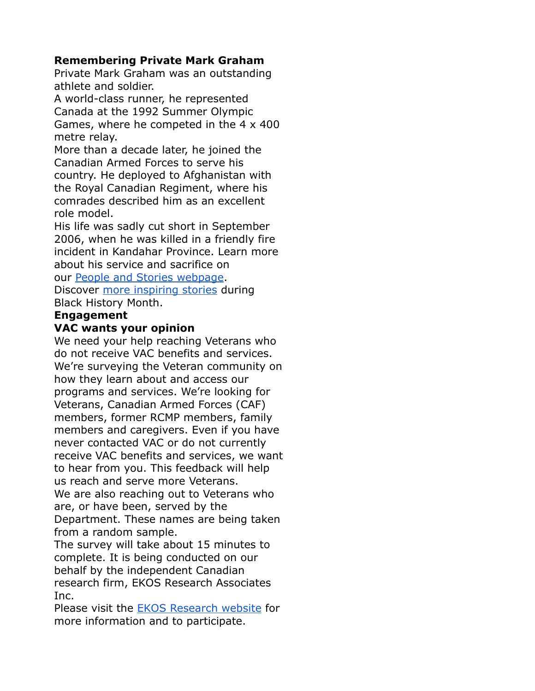### **Remembering Private Mark Graham**

Private Mark Graham was an outstanding athlete and soldier.

A world-class runner, he represented Canada at the 1992 Summer Olympic Games, where he competed in the 4 x 400 metre relay.

More than a decade later, he joined the Canadian Armed Forces to serve his country. He deployed to Afghanistan with the Royal Canadian Regiment, where his comrades described him as an excellent role model.

His life was sadly cut short in September 2006, when he was killed in a friendly fire incident in Kandahar Province. Learn more about his service and sacrifice on

our [People and Stories webpage.](https://emails.engagementhq.com/ls/click?upn=9vcdD193qA8wVAWAMcxkDVIHwbevMrQOoPXLdn6t48o9ZR1vuKXRVYuSD-2FMayQpkDXi2K5vVGxaYz8BQBcrBnaqcdeorH48FvEF6QF-2BhQIxklwBs5UkHse9FuRapdCoXdGASIBB3aVuYKFcqhCfEDSttabzCB7gitciyZBItol3hSBFlkhbkI99ySqsYzS2ZP5GzWH6-2BLNx1EwreDBIowl2H9nyuLgGxc0kSZB6-2FpX-2FCqzYw8DNZ2hmgUEp-2F91Z4S4pfXMYjiZajsrujn7lDNrLdc5z9jSdHIgfWoIthYIs-3DqzXX_Qr-2FEWZZ2NSxEuYyz1vGYovtWkAk6eSF1GO3rpwK32i08-2FbwVB1-2BCpm8Ts67KVEP6usNxdBiSRFSUTVD2reuOD7Y6iowWrVCHMMljazaQE4X3fcj5e1OR7kRJOlBJF34oEe1RCtIWQz-2FRV-2BT3LmbLtIad4LURcJFX8y7AwktoO9YecfFcp9016W1rFaIj4SnGR18iDG8tfrikh18kVb29FBP-2FAyIdZE8w5RP1IR-2BfCfj2G0KeeQPoDCOYwIv4nMyH3H-2Fdn1GAvFgoIbM5nsmhYw-3D-3D)

Discover [more inspiring stories](https://emails.engagementhq.com/ls/click?upn=9vcdD193qA8wVAWAMcxkDVIHwbevMrQOoPXLdn6t48o9ZR1vuKXRVYuSD-2FMayQpkDXi2K5vVGxaYz8BQBcrBnUe73L-2BG3ml0VzSy7xH6lwrFvTNnNmU0P0rKN8WQ-2FsZMnr-2FGlRfRgiZRPK-2BREZ7PifW6gXSMhjrPzWX8QP3pWvbo60YO19hH3orLIoB-2BxeJM-2FbCHjsOKgr0lSOTqrOrd7RH6jsHHf2bWIzahwh2hwgtgvotFjPXtAi4BNWts0rnbAn7XCVTFtMJ6YR-2F9dcQOFjIuizAF5cEruTD8me5LRsY-3Du_1N_Qr-2FEWZZ2NSxEuYyz1vGYovtWkAk6eSF1GO3rpwK32i08-2FbwVB1-2BCpm8Ts67KVEP6Wgh-2BmeldsRtRx5C-2FubOzIdTB-2By-2BvCjNXISL279uSYDFFdwewn1oogHgBnoaaDzthPs61FMm4IoovzbMFyW0I-2BhC-2BlcJpC2e2qk8xqCGnplCnRfRqvTRBpsQpzlAa15pgM7bVq-2BrPrmfmSRXoq2V0B9SuWG-2FF23HDfu180B4RgmEcJl0Wj55NfPWdF9p1MRhLq8PPR6WfjwrAOjyYtCfMRw-3D-3D) during Black History Month.

# **Engagement**

### **VAC wants your opinion**

We need your help reaching Veterans who do not receive VAC benefits and services. We're surveying the Veteran community on how they learn about and access our programs and services. We're looking for Veterans, Canadian Armed Forces (CAF) members, former RCMP members, family members and caregivers. Even if you have never contacted VAC or do not currently receive VAC benefits and services, we want to hear from you. This feedback will help us reach and serve more Veterans. We are also reaching out to Veterans who are, or have been, served by the Department. These names are being taken from a random sample.

The survey will take about 15 minutes to complete. It is being conducted on our behalf by the independent Canadian research firm, EKOS Research Associates Inc.

Please visit the [EKOS Research website](https://emails.engagementhq.com/ls/click?upn=9vcdD193qA8wVAWAMcxkDZbcOkp3DU4zklN3UGxXoXLdU6P3Arqa-2B6mMSZh36NJZP2CAdxJa84yF1b2nvvbX4wiSk9znye6QtDubtYh8GjE-2BIrZn-2BXzEjCgprg1ZCgn5PGUQZtJRRlQnEB1dGsHyeAan-2BFXUirLTU4noU8LETdzRvdW-2FHia-2BsuYq5IjS0-2BR-2BMroAsF-2FG-2BXdxmnwHTx5gqEpsz3LmUlxfEsh-2F88usyW4-3DlVbb_Qr-2FEWZZ2NSxEuYyz1vGYovtWkAk6eSF1GO3rpwK32i08-2FbwVB1-2BCpm8Ts67KVEP6K77r6sOe-2Fdn9-2FwLzEp-2F-2FNDgLu1EwrU1RHipbAv-2FJyMXCJ4JMaYRW1NCvAIMRmLA0ODZah743y5i2C61PPf0ZaB8WIxH1DI3lX9UaopouF8tskVUNkQ4yN1Wekqq-2BTFkWObcPt32KY2K9HXS7RkvUTShOFi3UbAYOzNrbPJNkJkFHNPzYxvBSXuv7TOuz4cDAuUl-2FJ6Juqj5BASkox2dq1A-3D-3D) for more information and to participate.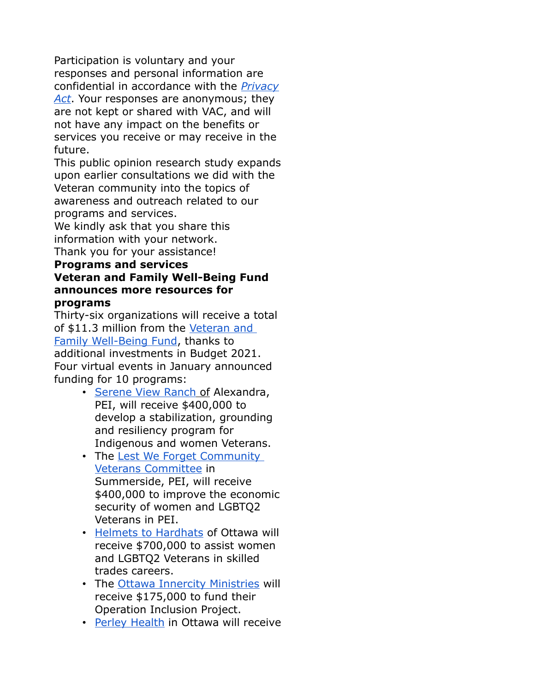Participation is voluntary and your responses and personal information are confidential in accordance with the *[Privacy](https://emails.engagementhq.com/ls/click?upn=9vcdD193qA8wVAWAMcxkDQFEx17XLgC2RoP7abvL-2Bmlv5zDySYIn98F-2BDRr0f4j2DJcL-2Bb4dTPaC8xD2emIu0APTkWP1HdMDS5MQbS0KC-2B0wDkb6eVAcVTZ1CEkQa3LW1pyFyVRvpmj0cppllFTHJQWBFGu-2FsN584qzvap2OZoE85N4WeaxYQhADkhH0H-2BYFToDUmEYvMiOvx448kV0FkBECuBadTS-2FmeXlYsB5UpYcBiOlPlMwSJLlZ74GrvQpSQEmj_Qr-2FEWZZ2NSxEuYyz1vGYovtWkAk6eSF1GO3rpwK32i08-2FbwVB1-2BCpm8Ts67KVEP6xxvlqu48HH7rRlT-2BPwLBgRXtnII0NEUOIiKJyE5QG6gcwPu9CGSORcy5PKAs-2FwowBDVMkbWRhjhPYyRj9V77ZtS-2Bhvg0NUswFirQUdwIGKdEbZfmxEOzOSu9cr-2Bj7MuN6ohbaVXDPYNbonBPxDAaPp5l13OOLnJZAz4Rh8JrY7KROPF8D3tXqpT-2BF5vLOZIGcNqUKzyVYM6dRymRP0JPFQ-3D-3D) [Act](https://emails.engagementhq.com/ls/click?upn=9vcdD193qA8wVAWAMcxkDQFEx17XLgC2RoP7abvL-2Bmlv5zDySYIn98F-2BDRr0f4j2DJcL-2Bb4dTPaC8xD2emIu0APTkWP1HdMDS5MQbS0KC-2B0wDkb6eVAcVTZ1CEkQa3LW1pyFyVRvpmj0cppllFTHJQWBFGu-2FsN584qzvap2OZoE85N4WeaxYQhADkhH0H-2BYFToDUmEYvMiOvx448kV0FkBECuBadTS-2FmeXlYsB5UpYcBiOlPlMwSJLlZ74GrvQpSQEmj_Qr-2FEWZZ2NSxEuYyz1vGYovtWkAk6eSF1GO3rpwK32i08-2FbwVB1-2BCpm8Ts67KVEP6xxvlqu48HH7rRlT-2BPwLBgRXtnII0NEUOIiKJyE5QG6gcwPu9CGSORcy5PKAs-2FwowBDVMkbWRhjhPYyRj9V77ZtS-2Bhvg0NUswFirQUdwIGKdEbZfmxEOzOSu9cr-2Bj7MuN6ohbaVXDPYNbonBPxDAaPp5l13OOLnJZAz4Rh8JrY7KROPF8D3tXqpT-2BF5vLOZIGcNqUKzyVYM6dRymRP0JPFQ-3D-3D)*. Your responses are anonymous; they are not kept or shared with VAC, and will not have any impact on the benefits or services you receive or may receive in the future.

This public opinion research study expands upon earlier consultations we did with the Veteran community into the topics of awareness and outreach related to our programs and services.

We kindly ask that you share this information with your network. Thank you for your assistance!

#### **Programs and services Veteran and Family Well-Being Fund announces more resources for programs**

Thirty-six organizations will receive a total of \$11.3 million from the [Veteran and](https://emails.engagementhq.com/ls/click?upn=9vcdD193qA8wVAWAMcxkDVIHwbevMrQOoPXLdn6t48p-2BeAYRKUTvuzehkNrBC0UBNd-2FL3SUA4k1FDCCLZBb1GoHuPcxFW1MfvP-2BvcG6mlA-2FE99f2P-2FpNcBozyBmxJTnYx6GRmMAJAFNM2Yni5JIlLEKyNKeBHF70JO0cuRL-2F2nfxO5XPTzsP9PcUynUnumkVU7hBBKD-2FcVfWGlyHt7Idr6mSiIUolwbAsZalfExOqQ0Uiz-2FCjQR1L-2BguMzhxSvUYS4TVdbSpwufL17GAMGHTfqkYypllYus1vAM8HKOfGeQ-3D3WMT_Qr-2FEWZZ2NSxEuYyz1vGYovtWkAk6eSF1GO3rpwK32i08-2FbwVB1-2BCpm8Ts67KVEP6T3GR4w8k8tXMMeGQndpNvCv40xjMoDrE5UZA6S4o9Zoo6ktJ6zqztytgH5zpvM5R-2FfHI9WmBZKrcqPvXb7lrGF-2BBB3KK5q2kL4ztGuQv8e4QTJusQySfzGBoqqaNhz01Z69T5UCZo2GczozScDW8RHv5OvR8zozxThdKu9w4CVWNhVhL5fy3wLFJ3stgM4QHPxq2-2B5aE7PgnuaaTiwkN6g-3D-3D)  Family Well-Being Fund, thanks to additional investments in Budget 2021. Four virtual events in January announced funding for 10 programs:

- • [Serene View Ranch](https://emails.engagementhq.com/ls/click?upn=9vcdD193qA8wVAWAMcxkDegr5CEgMHuODrTVO7YYa-2Bv2If110rhWX2-2BYQkVG4P69yQ0l0nLsjVTgjnPrmIQs-2FaDyC-2Fo6s-2Fxm-2Bhk7OFpMQCPfh1uSu0Kyod3A4dIVMWS1VraEgdzq6Zka9MKBNuUlCFAV8FKseeQpQszgy4TZ361P5kLz3pLpNbWgd8rVar2X0qoyDFfgJx2NF4xZv2OEtqD3yarVdQ-2F-2BsSSD1Wk-2BWJI-3DdBoD_Qr-2FEWZZ2NSxEuYyz1vGYovtWkAk6eSF1GO3rpwK32i08-2FbwVB1-2BCpm8Ts67KVEP6U5YD78WMXxRadt9lGblhlDltT0qGdLWs10Jk-2Fn9G9Wt4DGTB2IurloPgWu0f-2FnOIZPwHDxAqfxk6WTbD8hsWiG5p6cAeQz6rp9qBcC0iGtp96JwU2yV8C-2F-2FCisgsg-2FwmCtJhbug1KHFNc1xCH-2BhNrKzgORZHgRTcIKFtkTbZ8FNLTwgBGRsv65aA-2F1VBTbaz-2FPpMMp14537j7-2B7u3iC4vQ-3D-3D) of Alexandra, PEI, will receive \$400,000 to develop a stabilization, grounding and resiliency program for Indigenous and women Veterans.
- The [Lest We Forget Community](https://emails.engagementhq.com/ls/click?upn=BtL6lsHYvyMss-2FLES88SXW-2Fy5sQsyLskQTAZZt63DhwnLjTRkQLCNmjXWHXJeRyxca5ZjYRLM0T1ICY1jbaaQDSaOuuw9doFFCKGfAoTkRx6fbMcqCpbC4RQnWtXEFQN7DFL7N93c9EEgULFxD3teQ8kBUKB2hSjf5l6JjGJGxiG21XaJQKfJSftj9mGCzT2Jf6WHNeoIaBWue9iqe4As3kWZcAwP-2BbKX0nMfgdNgqVpzO4o3ayR0pML4RsQLYVj1Dsk_Qr-2FEWZZ2NSxEuYyz1vGYovtWkAk6eSF1GO3rpwK32i08-2FbwVB1-2BCpm8Ts67KVEP6cPIz3JnHUDlAQiAb7GSYUlK00U6IrQwQof-2B5lpV5vq4OMxn-2Bor9tIlFCo2W3T0Qk9C3tprnnNulMvJ5sWOrptkJbzr-2B1TVq6XHCwe8hEHEgvoB-2BgYqdS8EyQydozmR09pVlFiPen-2FQihxnjdIjcHubniERTQo-2FLL9S2cjXl67KWU1KkM0u-2Bjwd-2FmkglN4r-2F0-2Btoypd-2BT6trCInwm5Ytuiw-3D-3D)  [Veterans Committee](https://emails.engagementhq.com/ls/click?upn=BtL6lsHYvyMss-2FLES88SXW-2Fy5sQsyLskQTAZZt63DhwnLjTRkQLCNmjXWHXJeRyxca5ZjYRLM0T1ICY1jbaaQDSaOuuw9doFFCKGfAoTkRx6fbMcqCpbC4RQnWtXEFQN7DFL7N93c9EEgULFxD3teQ8kBUKB2hSjf5l6JjGJGxiG21XaJQKfJSftj9mGCzT2Jf6WHNeoIaBWue9iqe4As3kWZcAwP-2BbKX0nMfgdNgqVpzO4o3ayR0pML4RsQLYVj1Dsk_Qr-2FEWZZ2NSxEuYyz1vGYovtWkAk6eSF1GO3rpwK32i08-2FbwVB1-2BCpm8Ts67KVEP6cPIz3JnHUDlAQiAb7GSYUlK00U6IrQwQof-2B5lpV5vq4OMxn-2Bor9tIlFCo2W3T0Qk9C3tprnnNulMvJ5sWOrptkJbzr-2B1TVq6XHCwe8hEHEgvoB-2BgYqdS8EyQydozmR09pVlFiPen-2FQihxnjdIjcHubniERTQo-2FLL9S2cjXl67KWU1KkM0u-2Bjwd-2FmkglN4r-2F0-2Btoypd-2BT6trCInwm5Ytuiw-3D-3D) in Summerside, PEI, will receive \$400,000 to improve the economic security of women and LGBTQ2 Veterans in PEI.
- [Helmets to Hardhats](https://emails.engagementhq.com/ls/click?upn=9vcdD193qA8wVAWAMcxkDbibz3CZFToZikMG9SOMRDo3Pn7Zq-2BjYn2CzoWkVLz8P7RfPYUaEn6nOSsDXhvLuzcyRQ5zyOGaW0tIfspoF-2FYqPYBd0HhmT46et00jSWoZ-2FFrj6rfVLHZ42eDMbqx0t1KDYb4OOwqsx4MkgP6C6ONaBmeH0lEg0ay61ksqzgaGNSljiq7dflUdqMB6XlhqhRPUhY2a488rt0Ymov0LljZ0CeWjWTQOaQLbHuACMEVQf1lWG_Qr-2FEWZZ2NSxEuYyz1vGYovtWkAk6eSF1GO3rpwK32i08-2FbwVB1-2BCpm8Ts67KVEP6eRZmclWmyhXB2oOnvLt0fb1uEIu5J5xVh8FqDaYctp0PV-2FXzvQE-2F5MrWvNONCBg2CTE3oPRHSpZPsQSh7OXZUxbU1LY6Lop6NBoHvlJtVAv8c5nli6RbItQlXWThXReb5Tp-2FbZ-2B8vk-2B1PHZ8ispZ-2BhGAGFjbBMBas5x4Ukg3GNwJgB9onsgtX9B7gDUEMspjiiI5ctggEmfp-2FXdvajTyfg-3D-3D) of Ottawa will receive \$700,000 to assist women and LGBTQ2 Veterans in skilled trades careers.
- The [Ottawa Innercity Ministries](https://emails.engagementhq.com/ls/click?upn=9vcdD193qA8wVAWAMcxkDaJo-2Bp4ihM9o5rUE5MaxpjPt4m8wU0OgjZl0j5N-2FV5Ck3ACe-2FvuyhNI3O8HvTb-2Bj3vfzL76kjcKn23MT4cddleg-2BJ-2BovuZKaxISAwca-2BQ08cYQtyieBrftZ8dwvfiGXIUAnGAoPz0ME2MJ2xl7YNnBz64aCJ5uwO2yDwOHVhhtiA5T3vvRYLG41mNrfTqGQ70L-2BVt3vj1LUPVZY6BK-2BuTnaUVfvxIDJzoCML4PY8i7sqy73A_Qr-2FEWZZ2NSxEuYyz1vGYovtWkAk6eSF1GO3rpwK32i08-2FbwVB1-2BCpm8Ts67KVEP6C5gJW-2FCEj5pF2-2BtHTbAl06RBIkJYndvfzSJnatbLD6HI-2Frg4hy2CXFsCDrN6QGQ-2BisOvcmmYwrG0KVnjyEbtspzTR0F-2B-2BDxDevUggAVVXQAl5D5VeesM9fS2p47TaWKtynBZMak6QYj7-2B9CixtqpLjN5-2FonnuOkNQuHui4PpAzYFc5Y4UO1uEDugGvj8GguplwAVfBm93XjqZKDsoL8vAg-3D-3D) will receive \$175,000 to fund their Operation Inclusion Project.
- [Perley Health](https://emails.engagementhq.com/ls/click?upn=9vcdD193qA8wVAWAMcxkDWhPFKLn-2F3W6e6dq-2FwN9fGNVwV-2F2zTjibFsMcerQrzb-2BddR3vSMOt5cD9xp2xf5WXmCexK8z-2FFbz45YcH4OVbmjlZQSQEYkCR-2F-2F6Ms2jl-2FE36iMDjhg1e4EW3Io8XNllR9Y4qKf9wMkB5JjDQZjZj7NFO6pN-2FK9OHQNJ5hcZEvQW1bxNUuut3RE59e05Y1BPgwf-2BVWtyNxkF4zsWVeWDqQc-3DVguL_Qr-2FEWZZ2NSxEuYyz1vGYovtWkAk6eSF1GO3rpwK32i08-2FbwVB1-2BCpm8Ts67KVEP6qJcfufe-2FmD0wWDVkVXANqQCL8WlmKG0RYqLwg6x4eqZYS-2BiUUT8RgK5jVXoiFlwxBMbdLcGXYtPBO8mpyDp0jzpPu6CxGN4CJf-2FYe3mL2HrpDSB8ej7vrR5HodhjB7g7rlOIwxZrA4-2Bh1dhkZAy3ZuFg9O3aKSt13fdYoeVBGJD9-2FLnoxujoMMHxyrDQGA0-2BGLrEBP4e8TEr39M3DWz4Gg-3D-3D) in Ottawa will receive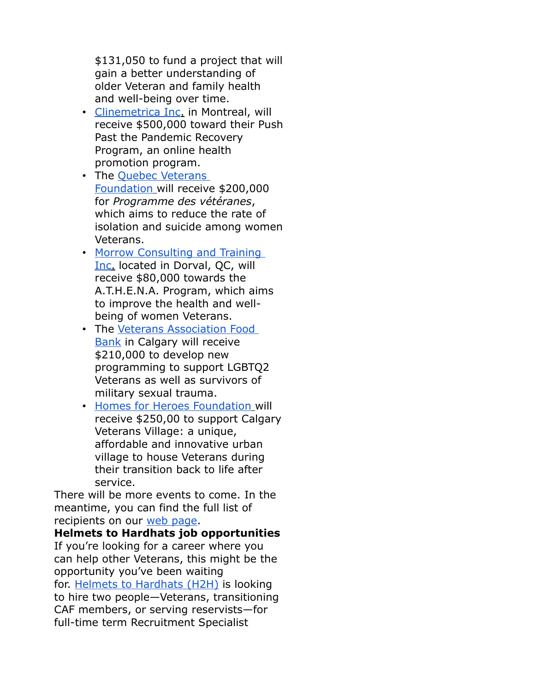\$131,050 to fund a project that will gain a better understanding of older Veteran and family health and well-being over time.

- • [Clinemetrica Inc.](https://emails.engagementhq.com/ls/click?upn=9vcdD193qA8wVAWAMcxkDfvsO1PJ-2BLa7wMlwo02jkEItaUGRfCHC9oHO4ZT-2FKmzKseGXYKIiEHEf9hbwWYlpQ2l761ZUmAUHFYJzeovYYPvjjGcf-2B7ay0KhHS9qhiarZgBJffzZIgXie3vTYBjVD7E3BB-2B1ZFWEXYRrkLmxUUIeUfc1d9z4BmBx9WqH9l-2FQAao-2Bhd6qKDGpJEHQzsWQJowWnEWlpFGOCRE-2BH3P6INZw-3DUTKY_Qr-2FEWZZ2NSxEuYyz1vGYovtWkAk6eSF1GO3rpwK32i08-2FbwVB1-2BCpm8Ts67KVEP6RPNWyxltgURfcTPamzEeGacU3Zpxg5CFRfuEA1D0Go8jnab8GRww5ZjmydTKsfa0ExW4w8XsXzIpoCRVffmwqNW2VqafEuV4sGSAi8JdWY9bxuiLYUwPNZDNYz8-2BZy2hsfpz2cU5q7G1413nvTfQzDJ1bbsmPvhJWKWLs2HermhIC5dFbIz6RWFWmZncbzl3GuhTeP7JFK8jUDkn8Bt4Qg-3D-3D) in Montreal, will receive \$500,000 toward their Push Past the Pandemic Recovery Program, an online health promotion program.
- The Quebec Veterans  [Foundation](https://emails.engagementhq.com/ls/click?upn=9vcdD193qA8wVAWAMcxkDZg-2Fl9-2BzInNTXfQ4zlrvj1kGkYz0k1F-2FOUqO3dflxKTC1BLebGD7TZMoZbAegBlC5VEoGyYpJ8RAixfva5SurW7qTUr3epf6h9yHRtqPD5qFLRXJxgVmgfXOcxUp4Udz-2BjDkoukJURMmpbRlbEWV9Bl8p8ilD9eyt8hssszw4pZOwqnRTFZPbVrjLC6Ms5BvrBQ7FY4qoNEMTP-2B3cJqnkHI-3DRCL2_Qr-2FEWZZ2NSxEuYyz1vGYovtWkAk6eSF1GO3rpwK32i08-2FbwVB1-2BCpm8Ts67KVEP64suf61NclJS2VTnfujnMf8AvqeMZWzX6GMmubHEHlPCYblrZNqZGGLQrzfyccov1Idc1fdZ61kwMMu15R1riVGgNtjxYMsLw4LADkqysc77npdQTFBSLnrlZQvyqX9IAUnKki0OKy-2FwXDJLHxMLWhCJ15lsiZ2PNQKnw9e6R0q6jOVQvKwc34biO7r3AexjkDff4TuCZ9a-2FKrWsPkaCEKg-3D-3D) will receive \$200,000 for *Programme des vétéranes*, which aims to reduce the rate of isolation and suicide among women Veterans.
- Morrow Consulting and Training  [Inc.](https://emails.engagementhq.com/ls/click?upn=9vcdD193qA8wVAWAMcxkDbM4-2F3zr-2FVAjVUIKPA8s3icYZFREXANJUTqj7c6GKoOKX393AagkK38K18JGVKnaWe03Gt-2FE2URzk4nzhoGuC58GvNpgxs0ywvx024SWwP9pvUsekx4-2B3oE7MLQh-2BVpu4pdYmknUYFGOwtc9AOgNlCShVRE9oB7jfekLYt0Laun-2FlCjn4WXhe-2FD58dAXqkl9cCkfWb8L7Nw69-2BK9X7QYaDiwlCLqrLuh3WebSlVLBuS-2FFZ_N_Qr-2FEWZZ2NSxEuYyz1vGYovtWkAk6eSF1GO3rpwK32i08-2FbwVB1-2BCpm8Ts67KVEP66IClbjR3IYOnDfwPPUjsrfgekZ0opvLaJ1j4fOdSIFJF1EBX1mzGwpWklRm9hhf0nuSlISudG0nGN0FWWqW8Ps-2FXljbgZZ88P0hKR-2F7a-2F9TmCtz16-2FKDegzZm8dFO2lnbUjLEo7zRBo2frHeIdPTAIIjLUdPmL9t-2FriQmyv4yA-2FwWj0OJxbdRZmkStSuIlVoqfdn-2BOekecqY6xb-2BM0UeqA-3D-3D) located in Dorval, QC, will receive \$80,000 towards the A.T.H.E.N.A. Program, which aims to improve the health and wellbeing of women Veterans.
- The [Veterans Association Food](https://emails.engagementhq.com/ls/click?upn=9vcdD193qA8wVAWAMcxkDY67EOVvwjGxt0SyUf2dCcW-2FUDlr7JXf01505OuV2ua5VhWjV2eKpVvV-2FwV0vXg-2FJZ4-2FhxhKcQ-2BcUOV49nm6ux84NoVmNZQM4YzIWL5-2F119I5vK0vtya8dRysR93l2eNtTlOkkokvK3kvkbk0dUHiWBugeFrVA9zIwZShcko0OVcztug-2BuKqaWlkG8O8T-2BvhCK7HNr5UHG6NIFb7vANuRVX2eQs6RwDj-2FRPZDF3eQUikgsRx_Qr-2FEWZZ2NSxEuYyz1vGYovtWkAk6eSF1GO3rpwK32i08-2FbwVB1-2BCpm8Ts67KVEP6SSUkJ1QIWdFNi4-2BQ73v3OYGAf8-2FFK49heTFvv7Q5o9oF9e3qpjzekP7iH9RxMfXoDhoWoJK6rL7FHRamuJTXT1rInQ4j2B7hCipdkByA9tgN05AR1-2B-2FCkMawQORO5j14BvPlqEMSNLYu-2Bx-2BayG6XHtV9qpcYsLc8au4Hn3DHVegRYw9N-2B3rlvYMcn7UQNzuPiflpkYA4zib4SJk5G96Asg-3D-3D)  [Bank](https://emails.engagementhq.com/ls/click?upn=9vcdD193qA8wVAWAMcxkDY67EOVvwjGxt0SyUf2dCcW-2FUDlr7JXf01505OuV2ua5VhWjV2eKpVvV-2FwV0vXg-2FJZ4-2FhxhKcQ-2BcUOV49nm6ux84NoVmNZQM4YzIWL5-2F119I5vK0vtya8dRysR93l2eNtTlOkkokvK3kvkbk0dUHiWBugeFrVA9zIwZShcko0OVcztug-2BuKqaWlkG8O8T-2BvhCK7HNr5UHG6NIFb7vANuRVX2eQs6RwDj-2FRPZDF3eQUikgsRx_Qr-2FEWZZ2NSxEuYyz1vGYovtWkAk6eSF1GO3rpwK32i08-2FbwVB1-2BCpm8Ts67KVEP6SSUkJ1QIWdFNi4-2BQ73v3OYGAf8-2FFK49heTFvv7Q5o9oF9e3qpjzekP7iH9RxMfXoDhoWoJK6rL7FHRamuJTXT1rInQ4j2B7hCipdkByA9tgN05AR1-2B-2FCkMawQORO5j14BvPlqEMSNLYu-2Bx-2BayG6XHtV9qpcYsLc8au4Hn3DHVegRYw9N-2B3rlvYMcn7UQNzuPiflpkYA4zib4SJk5G96Asg-3D-3D) in Calgary will receive \$210,000 to develop new programming to support LGBTQ2 Veterans as well as survivors of military sexual trauma.
- • [Homes for Heroes Foundation](https://emails.engagementhq.com/ls/click?upn=9vcdD193qA8wVAWAMcxkDSdwHQxpLx0VECRFgbmACGgmnAD-2BRG00JLrkIZv377ZrgJOGsHA-2FdCPaXJ1arLmYyRGJ8mnvDTl0ZWuJ7ax0Odai0kmabG9sFWNs7TTPuk18iozmAJxH-2BUIQK9sDhzSLnTihBn2ZYArDbqXAoCpfPeygDdPhV59TTHUW5i-2FsP6H0Nsb07yUcsadgNPOvec7fAzYR6NpGmIzEJnGAG1WyAea7DIDvf4g2Nw2jOGsHEPszvdkB_Qr-2FEWZZ2NSxEuYyz1vGYovtWkAk6eSF1GO3rpwK32i08-2FbwVB1-2BCpm8Ts67KVEP6FQHohXLLTfBvhuceYSCGlb9v9vCy-2B03R9UVDjkeeStx9xvkb7bkeIdnt7zsvPvHJXq3WuYiq8SwWVoJylF9obeacPoC9vaiDqCk8Ci6-2FKKmENKcVbVaQVWTxC7-2BoOiZo1Ze3hdKJu-2B8QQ508Yu2RULmZTrS5WSHhDA15ijCIYi8xGwd7y3fnCDxB0oAq3Pm5sGq-2Fw0oKUoCIZ7LkrzBXLQ-3D-3D) will receive \$250,00 to support Calgary Veterans Village: a unique, affordable and innovative urban village to house Veterans during their transition back to life after service.

There will be more events to come. In the meantime, you can find the full list of recipients on our [web page.](https://emails.engagementhq.com/ls/click?upn=9vcdD193qA8wVAWAMcxkDVIHwbevMrQOoPXLdn6t48p-2BeAYRKUTvuzehkNrBC0UBNd-2FL3SUA4k1FDCCLZBb1GnPI92qTtRoJN33MRV8Knjz0ZUPfdmvlr9MAbpNwnYdcgTyla67Kv6hulEEu-2Bn5ImJBVW93oiG-2FEvKkNo6d3ceyLg5VwhOVDD4dQHMDf-2BkrRb8STtRfF6PY2EKoyz-2F3-2BFPsOhtIG7xA6eNeY9LpGI6LX8FhGOJxazQrq6VhzA7ubhRIZn1n5dwnFsSxEBKUOePFcztOX-2Ba7Vy-2F0OWsjeXl88AQc8KaTgXn1nY8gPAHWq0WE1_Qr-2FEWZZ2NSxEuYyz1vGYovtWkAk6eSF1GO3rpwK32i08-2FbwVB1-2BCpm8Ts67KVEP6urb-2FzbA-2BHqsut45yfn7LQTUsKWuzHD3gLdEEN0MfmqqB8lXMMtHhQqYpvtiC3OR1-2FsXn-2FI2kCGckn7dvn8c37VoupJynB2QfRx1T02K75zAKI7n2JvXP8lLJElAi71MlBvwL1nt1t7uxo52LiymTmC6-2FHh1LjRYgc2HZWmVycPJ8PJ-2FeN2rwbuC2eywGb1YTD4JLEjBG0fqF7jpo5TiD5Q-3D-3D)

**Helmets to Hardhats job opportunities** If you're looking for a career where you can help other Veterans, this might be the opportunity you've been waiting for. [Helmets to Hardhats \(H2H\)](https://emails.engagementhq.com/ls/click?upn=9vcdD193qA8wVAWAMcxkDbibz3CZFToZikMG9SOMRDo3Pn7Zq-2BjYn2CzoWkVLz8P7RfPYUaEn6nOSsDXhvLuzcyRQ5zyOGaW0tIfspoF-2FYqPYBd0HhmT46et00jSWoZ-2FFrj6rfVLHZ42eDMbqx0t1KDYb4OOwqsx4MkgP6C6ONYqvXxyCLDC8-2BciHHM6bZYFFCGvtoiDBT9ST1k7Bh6paWYu-2FlnyouxZOl6AR7P1Z8NXI-2BPr4QmjJKk9AXD-2Fr2eJ4e55_Qr-2FEWZZ2NSxEuYyz1vGYovtWkAk6eSF1GO3rpwK32i08-2FbwVB1-2BCpm8Ts67KVEP6SNMScdONJ6qIJRMmV-2BfwezOKpb7DrfTgzAFmg2WETmM5uCvL4QkdoEVss1Wp36IK-2BQE-2FZdcl9b8sXTevH1-2FkiJWkFm6Yv7GxVo7ScENq6KiBrjMNLAXaTxpKMlWRsqMGqry7sdqteZf37sW5JkYFmfab6iBOKlKSj787a5eovBqAZheet0ExtBHqyIqPO0zvkETyzMyYIM-2Bz-2FhlBzD7J8Q-3D-3D) is looking to hire two people—Veterans, transitioning CAF members, or serving reservists—for full-time term Recruitment Specialist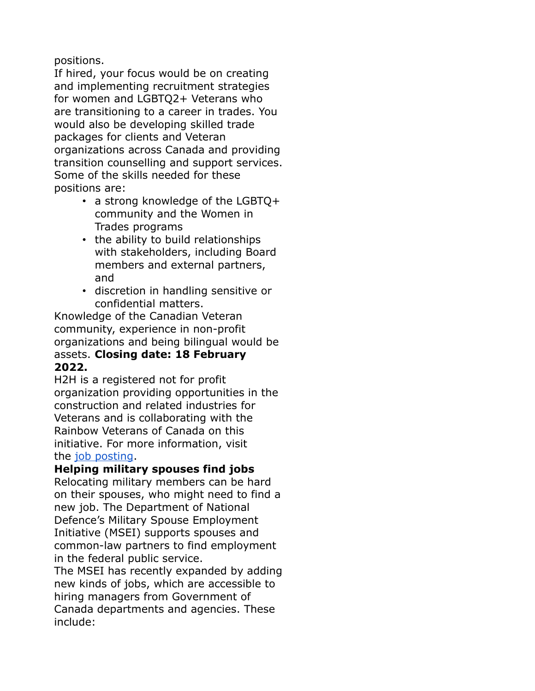positions.

If hired, your focus would be on creating and implementing recruitment strategies for women and LGBTQ2+ Veterans who are transitioning to a career in trades. You would also be developing skilled trade packages for clients and Veteran organizations across Canada and providing transition counselling and support services. Some of the skills needed for these positions are:

- a strong knowledge of the LGBTQ+ community and the Women in Trades programs
- the ability to build relationships with stakeholders, including Board members and external partners, and
- discretion in handling sensitive or confidential matters.

Knowledge of the Canadian Veteran community, experience in non-profit organizations and being bilingual would be assets. **Closing date: 18 February 2022.**

H2H is a registered not for profit organization providing opportunities in the construction and related industries for Veterans and is collaborating with the Rainbow Veterans of Canada on this initiative. For more information, visit the [job posting.](https://emails.engagementhq.com/ls/click?upn=9vcdD193qA8wVAWAMcxkDbibz3CZFToZikMG9SOMRDoGjfNFCFaQ0ANpZ5B-2BFwFH2Ut6O-2BtISDbLMmoqZ8ZqAZio-2BiPMEup1ETKUTXYl6F5YdywAU89CCczWmP-2FpLjOv0uqVCwuY9q9xfEu3-2B1s3SMBuN2XoeaCfCG3B6C-2BMCnk5cTdbjZD7IIRoZ-2B5azxZkHu9iQ8yvHphI5DOZgX-2FPlQME9p6WVuPCl7SMZ62ifJKlmFYpb40Ekaa7YvwLOqrTs-2BOb9Owgvir-2BLDna8dA-2Fvaot3nH35Ubhe7j5yprWFkQZNK2M-2BV4p2If-2Fq0X-2B9JXV5V9f_Qr-2FEWZZ2NSxEuYyz1vGYovtWkAk6eSF1GO3rpwK32i08-2FbwVB1-2BCpm8Ts67KVEP6eWqbrwGFqBPKGJGl17o-2B4glCZ5bxiG6x-2BPRe2ph1yPqgbSF9cwu2x22KHhatCZV1ubkZRLvBAEJiY4kSrIGCGtEUJsMMWyjFuOB4DrqlkWM83Hhladi0JNlMY3NoigK03rBF-2BhHbaaGesWrNkCFUDXpAkUjp53EUXeS5cQdOYRJkaB3vaMc1EaGNaBhMV2q8SdiZphXLtaoCwguzPc0dig-3D-3D)

### **Helping military spouses find jobs**

Relocating military members can be hard on their spouses, who might need to find a new job. The Department of National Defence's Military Spouse Employment Initiative (MSEI) supports spouses and common-law partners to find employment in the federal public service.

The MSEI has recently expanded by adding new kinds of jobs, which are accessible to hiring managers from Government of Canada departments and agencies. These include: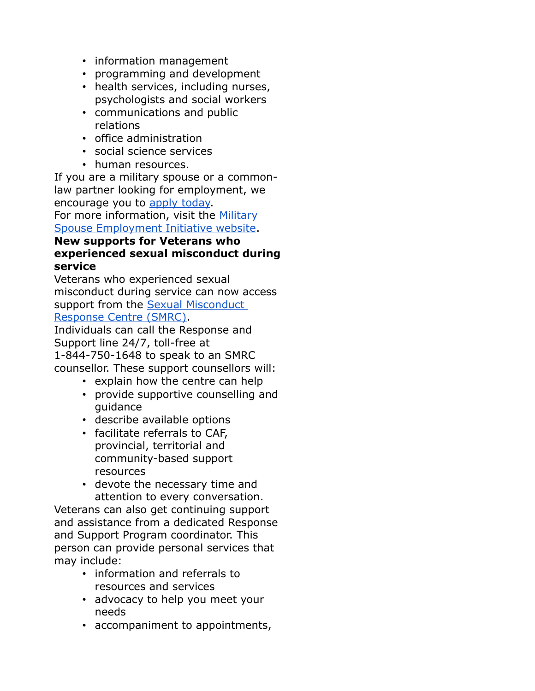- information management
- programming and development
- health services, including nurses, psychologists and social workers
- communications and public relations
- office administration
- social science services
- human resources.

If you are a military spouse or a commonlaw partner looking for employment, we encourage you to [apply today.](https://emails.engagementhq.com/ls/click?upn=9vcdD193qA8wVAWAMcxkDRo-2FI5vPOikXXVlkPgkrSz6j-2Fi1b96VE5cxafZQC8WaSrPOIxPx7qFI3wH7zh3yEiMMyDYrZeSIWCqjuVfDR-2FacnU3iUulExh2Lf2iTYwTfg2P3cvQGGPmR0LERnzZqCnvm6BBeSEc4ekd8VBOBOhs8al51fMD8d92wPkBvb7PA4Qr202-2F5yc2A3iKYdH-2Bonp4E03xEElFRMbwyD0wXYj6xd1F4Ri6t24wk7Lla8v4Wc0lA-2F2wVTmqUL6x1GScGYMod5f0BTQAoiJxtlbxfAbKM07FDfAEmcs2pScd5Pre5FoNTls4e5sRBK-2FndqlPaO8g-3D-3DuTmF_Qr-2FEWZZ2NSxEuYyz1vGYovtWkAk6eSF1GO3rpwK32i08-2FbwVB1-2BCpm8Ts67KVEP6xnuedbdlGBEbnbaMxAddOFq6F-2B-2BhEzBvPuRZ0yWjBQv07cx9Gj7yeOOgZoUqzegq5jYBrsK9t5fmPCq8MmGGyshaTfippeSZMHEwPmilFEurc63vFRWYXkuouMiJ114loVADTPaG1YE8j-2FSViHe1bM-2F7hJwHH538XwXzPtXUho4y-2FSQb8vkBe7hlQdln5CM89NOr5HkCY69DcOj2LhnUnQ-3D-3D) For more information, visit the Military

[Spouse Employment Initiative website.](https://emails.engagementhq.com/ls/click?upn=9vcdD193qA8wVAWAMcxkDfFWY01gcORJHqAJwNrnZqovne0nIJmHSiabwVQJNrnXY95pORdxhzavZZV1WTg7BxZgTjrc-2FHZu5bSCrVd5d-2BQIjArFNzsy99t80G-2B7TxH3gGIIdacIyjLue4ODD-2FcWdLc8g1U0RAoWIlBJ7Ac-2BrpjnYrxFPkuERL-2FDedKf9K8JbgNtXvy-2FDrMtv5GN23CdweVQ-2B0Kr6nWclTKidR9vOg-2BlJxrFWgx5II4RKTXaxaQefSzt-2FurrlUx1VUS1wKosRJp2PLYtahrVCeeShoH32-2FJewmGnP2HWF6yQCiTVNrIA2HwQgQf7n8-2BP98JHnje7hVeGL1Cnh3d9qVXnych519-2FPcLg3X1vx6Ntl5-2FmDlrJk7sU6W34QoP7w8Tvc5OeqgpBpRDoBdiCckLhUqdPkU-2BA-3Dn1uq_Qr-2FEWZZ2NSxEuYyz1vGYovtWkAk6eSF1GO3rpwK32i08-2FbwVB1-2BCpm8Ts67KVEP6Ib5qykPZoLuwiVLbQGOpYfAxEx36dvyfHZj73Phz5Xld4hs2Fwyxh4HKYkolO2O9XchNJP7W44XrzB2eG0pxR-2FoliZSsYqubJSAVIhACVf5JpXL0vz1TMHuK3Y5OLgugj-2Fcu4y7iEf6rpiEnMZh7ZLx4P4wjZdC8e8oxw2mtRmgaWeSwYU-2BGtU4jbH-2F0-2F1VRAwznobEllUbk-2F2EgvvkhTA-3D-3D)

#### **New supports for Veterans who experienced sexual misconduct during service**

Veterans who experienced sexual misconduct during service can now access support from the [Sexual Misconduct](https://emails.engagementhq.com/ls/click?upn=9vcdD193qA8wVAWAMcxkDfFWY01gcORJHqAJwNrnZqovne0nIJmHSiabwVQJNrnX2yyNcI97eBba5zydBeZSjqntM7-2BY-2BT-2F8Ki2SmT-2BfAhDzA1-2FpFa5pMEht8VVONiKCpq-2FdFuBFoFQ1u3eHSvKZ7FKixtBJNIewIm76fMkX0-2FYck2tbhUDbj4vEA3PcvEABuNIz-2Fz-2Bin56uurAs88mBnEte-2FoPO5Ks4zgoLu2LrO00OeEJZl9SbAvol1B-2FZ2qN4s94mJsL6KyCUUgAbhaK9RE3dsNn0hwYlB5FzjWWAQHQG6KMH-2BaEJ16Z7L47tjnUxDCDxYrdtuqPMTlQxg0wsGiXqJIiPkx5G1vHMvJRfWUM96zi82Ef5LiCoigM9d6cWY5cmPlq7g9ou1DuRSsUSZ-2B-2Fi2T0eiCg-2B6MVYmVEGEG9y5qHse4U9PxoSpzWvPYb1hjHB_Qr-2FEWZZ2NSxEuYyz1vGYovtWkAk6eSF1GO3rpwK32i08-2FbwVB1-2BCpm8Ts67KVEP6ciSQnwsZIL-2BkvSp25JpxXmI2cgafOkodXi6iPY6fe8j6j-2FEN8upWu8K6hBO7q1S4sIprToT7Wb4eILPTCWWgHfVaZS05TVlbbTsToDbqoPDN-2FQxHYSyIIE353eOKPQ8BfTGzxbJcuFk1h-2BGT6bsWpNvVbhSYiYjbeAR5TUvY9CFOn984dcHrCl8LT-2Fa7vxNPBVQji2rmpQTb8Idj5LQybw-3D-3D)  [Response Centre \(SMRC\).](https://emails.engagementhq.com/ls/click?upn=9vcdD193qA8wVAWAMcxkDfFWY01gcORJHqAJwNrnZqovne0nIJmHSiabwVQJNrnX2yyNcI97eBba5zydBeZSjqntM7-2BY-2BT-2F8Ki2SmT-2BfAhDzA1-2FpFa5pMEht8VVONiKCpq-2FdFuBFoFQ1u3eHSvKZ7FKixtBJNIewIm76fMkX0-2FYck2tbhUDbj4vEA3PcvEABuNIz-2Fz-2Bin56uurAs88mBnEte-2FoPO5Ks4zgoLu2LrO00OeEJZl9SbAvol1B-2FZ2qN4s94mJsL6KyCUUgAbhaK9RE3dsNn0hwYlB5FzjWWAQHQG6KMH-2BaEJ16Z7L47tjnUxDCDxYrdtuqPMTlQxg0wsGiXqJIiPkx5G1vHMvJRfWUM96zi82Ef5LiCoigM9d6cWY5cmPlq7g9ou1DuRSsUSZ-2B-2Fi2T0eiCg-2B6MVYmVEGEG9y5qHse4U9PxoSpzWvPYb1hjHB_Qr-2FEWZZ2NSxEuYyz1vGYovtWkAk6eSF1GO3rpwK32i08-2FbwVB1-2BCpm8Ts67KVEP6ciSQnwsZIL-2BkvSp25JpxXmI2cgafOkodXi6iPY6fe8j6j-2FEN8upWu8K6hBO7q1S4sIprToT7Wb4eILPTCWWgHfVaZS05TVlbbTsToDbqoPDN-2FQxHYSyIIE353eOKPQ8BfTGzxbJcuFk1h-2BGT6bsWpNvVbhSYiYjbeAR5TUvY9CFOn984dcHrCl8LT-2Fa7vxNPBVQji2rmpQTb8Idj5LQybw-3D-3D)

Individuals can call the Response and Support line 24/7, toll-free at 1-844-750-1648 to speak to an SMRC counsellor. These support counsellors will:

- explain how the centre can help
- provide supportive counselling and guidance
- describe available options
- facilitate referrals to CAF, provincial, territorial and community-based support resources
- devote the necessary time and attention to every conversation.

Veterans can also get continuing support and assistance from a dedicated Response and Support Program coordinator. This person can provide personal services that may include:

- information and referrals to resources and services
- advocacy to help you meet your needs
- accompaniment to appointments,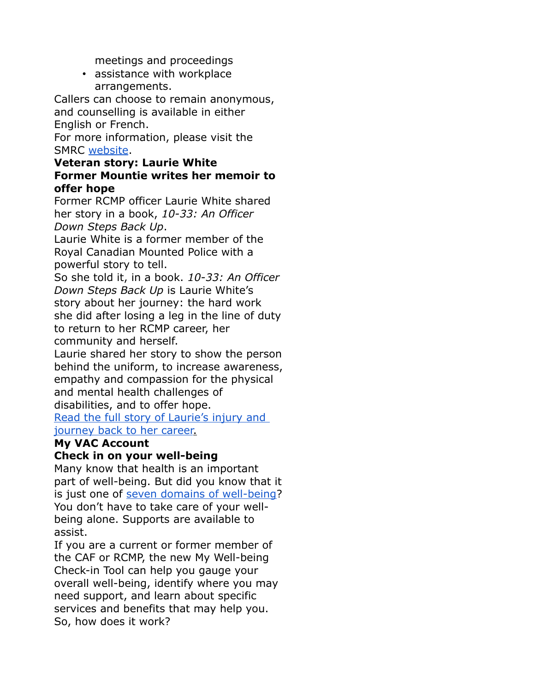meetings and proceedings

• assistance with workplace arrangements.

Callers can choose to remain anonymous, and counselling is available in either English or French.

For more information, please visit the SMRC [website.](https://emails.engagementhq.com/ls/click?upn=9vcdD193qA8wVAWAMcxkDfFWY01gcORJHqAJwNrnZqovne0nIJmHSiabwVQJNrnX2yyNcI97eBba5zydBeZSjqntM7-2BY-2BT-2F8Ki2SmT-2BfAhDzA1-2FpFa5pMEht8VVONiKCpq-2FdFuBFoFQ1u3eHSvKZ7FKixtBJNIewIm76fMkX0-2FbbvSLqe5d1vTh2PEdWFUGndPcbHmb88J-2BxG-2B3VUyVg4s9Cocx2ji9cTjQMSzFCXp6PlduapvozIS6nAP1hS2AJKkG0jlHh4pf83MYeT-2B6-2FACx7Bc0aXgyGHLO3jKujdNYxpwfrgvm-2FR5raeH3QmXeXzpWs-2Bl3g6u9AsTswg2LvdFoUtnmzLTaltdIwZHRSOr8-3DZz2w_Qr-2FEWZZ2NSxEuYyz1vGYovtWkAk6eSF1GO3rpwK32i08-2FbwVB1-2BCpm8Ts67KVEP6zOvod-2BtI5IxWzZ04YV8OidGFRyFnnL2VVlFBq-2BUIBgFJjqKJ5-2BQLXuCpzBbDdw2H7q0I8sZ7w0fMkXUc7kTgg-2BsPL8txOktrUx3zzIAHTnYvgHV2TPh6wBtrHPQhidAcpkmEEUAbzcDEAJQYwjl7jOPOrJQM4XOZvSHH-2BfyuXUfy8VwmsebehLCLegbzw2j42UbdLS-2FR4Wev8bHSdkFVUQ-3D-3D)

#### **Veteran story: Laurie White Former Mountie writes her memoir to offer hope**

Former RCMP officer Laurie White shared her story in a book, *10-33: An Officer Down Steps Back Up*.

Laurie White is a former member of the Royal Canadian Mounted Police with a powerful story to tell.

So she told it, in a book. *10-33: An Officer Down Steps Back Up* is Laurie White's story about her journey: the hard work she did after losing a leg in the line of duty to return to her RCMP career, her community and herself.

Laurie shared her story to show the person behind the uniform, to increase awareness, empathy and compassion for the physical and mental health challenges of disabilities, and to offer hope. [Read the full story of Laurie's injury and](https://emails.engagementhq.com/ls/click?upn=9vcdD193qA8wVAWAMcxkDVIHwbevMrQOoPXLdn6t48oRBwJfD1RT8zZKAwF9-2FitQm9yTsdAFGj3qLx0EZ-2B1lOQ17OT-2BujjiXIxn7YC5aawnvBTXDsDO9jIj9i7HDWZUV-2F2XK-2BKzMsQi1Uby108cRNGS6Nq3f-2B-2BlYtMr1jpk5uqOkASwWU05quFUGR3CeX77Gs-2F5bNzGiSrjfCBqf-2B-2B3-2BexAzSj6WsSJ3BRq4NIQ-2BScPAVZ4llMA1R6QSes-2FuvFeRx6tn_Qr-2FEWZZ2NSxEuYyz1vGYovtWkAk6eSF1GO3rpwK32i08-2FbwVB1-2BCpm8Ts67KVEP6-2FaLv5-2FeHCIqvD5Tc3r5mBYTVl4p9gKqyVJa9IeUZxf6kvyjrftnl8k4b8pqtRe3DzZKaXMGcAO6-2F-2FJfmBfd-2FkAyd0yE-2FZeH1cBxDpr-2F8-2BV-2B4mM5DYyRcV4eWpdZx5tTQQ5p5PLry-2FkhhGBvEFy3o4i8Bh3IK0JBd0YUPY0h4cEav-2F8XSbJ9wkhUMypaW2Xk00e0OQw7bxNFlZN3v84dtjw-3D-3D)   [journey back to her career.](https://emails.engagementhq.com/ls/click?upn=9vcdD193qA8wVAWAMcxkDVIHwbevMrQOoPXLdn6t48oRBwJfD1RT8zZKAwF9-2FitQm9yTsdAFGj3qLx0EZ-2B1lOQ17OT-2BujjiXIxn7YC5aawnvBTXDsDO9jIj9i7HDWZUV-2F2XK-2BKzMsQi1Uby108cRNGS6Nq3f-2B-2BlYtMr1jpk5uqOkASwWU05quFUGR3CeX77Gs-2F5bNzGiSrjfCBqf-2B-2B3-2BexAzSj6WsSJ3BRq4NIQ-2BScPAVZ4llMA1R6QSes-2FuvFeRx6tn_Qr-2FEWZZ2NSxEuYyz1vGYovtWkAk6eSF1GO3rpwK32i08-2FbwVB1-2BCpm8Ts67KVEP6-2FaLv5-2FeHCIqvD5Tc3r5mBYTVl4p9gKqyVJa9IeUZxf6kvyjrftnl8k4b8pqtRe3DzZKaXMGcAO6-2F-2FJfmBfd-2FkAyd0yE-2FZeH1cBxDpr-2F8-2BV-2B4mM5DYyRcV4eWpdZx5tTQQ5p5PLry-2FkhhGBvEFy3o4i8Bh3IK0JBd0YUPY0h4cEav-2F8XSbJ9wkhUMypaW2Xk00e0OQw7bxNFlZN3v84dtjw-3D-3D)

## **My VAC Account**

### **Check in on your well-being**

Many know that health is an important part of well-being. But did you know that it is just one of [seven domains of well-being?](https://emails.engagementhq.com/ls/click?upn=9vcdD193qA8wVAWAMcxkDVIHwbevMrQOoPXLdn6t48okuQXB3lE6ZZra2sNra3XqQYIhqPJW0FYXKg2Br3Q2XBQ-2Ff5bWPlnmqlGN45EwJiInDv1LYKEQfyBKn3GbFPwcxJehP0owqKcThVJ2eMGJiqzdzl-2FwEg6WlpVwD-2BBL-2Fs0KOxDu0KA-2FxYQuTTr6thz1ZisI-2BZ4KvAlp1imUwu1QnQobJ3Ty-2Bx4vC25-2BF6hAve-2FQ-2FL1h6mKyOdd-2F9R4cS5msIiz5ehnjEapAb1Gbr4EpAw-3D-3DpmJh_Qr-2FEWZZ2NSxEuYyz1vGYovtWkAk6eSF1GO3rpwK32i08-2FbwVB1-2BCpm8Ts67KVEP6yhYCfLSCfKQyLiuZS-2BDG7vlBYQXEtzDYtBs-2F2ALFKV5oYx3hWWFfMmAB9RMaJgLQm5ARMz1XZhCALgVSWo32NdLaQWvro1y1riv9CHF4Ra-2Bz6ThZDSlZ7SkK5kxFT31AT9yN8U2HpS8exKON5xG9GW2d1IaRvCP8v1qHF5OokUZiiZ0u5DLJ92mWefIr-2F10baDXRdBEP0SaSbjAN2Lttmw-3D-3D) You don't have to take care of your wellbeing alone. Supports are available to assist.

If you are a current or former member of the CAF or RCMP, the new My Well-being Check-in Tool can help you gauge your overall well-being, identify where you may need support, and learn about specific services and benefits that may help you. So, how does it work?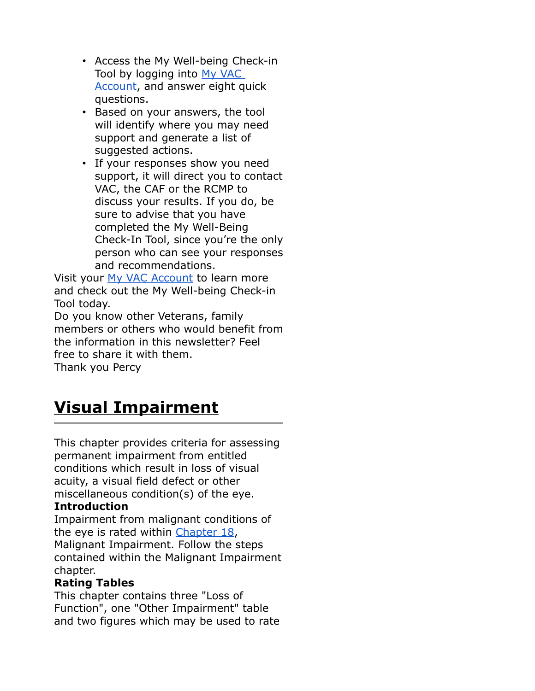- Access the My Well-being Check-in Tool by logging into [My VAC](https://emails.engagementhq.com/ls/click?upn=9vcdD193qA8wVAWAMcxkDVIHwbevMrQOoPXLdn6t48rFhdYDTIA9fjgnOPd4MYwVAGTs1F8DICke3VPBGUu4-2BGcOCTrOydFFCCGegk5QUMQ5AO-2FyWDDJ8TeNMA3CvYicXwlWHb5O3pDu7DgqBiQSZpZhHfnrSobD0qPJXqiOcw6fZpuVHpRE4zZxZn3FZbX0Z9D-2BgzawZMCp8igA4vfWiEWycpgPyk0qNBo0byY1wIIgoB-2BMqmeKm0rezrSCrcFZiVjO_Qr-2FEWZZ2NSxEuYyz1vGYovtWkAk6eSF1GO3rpwK32i08-2FbwVB1-2BCpm8Ts67KVEP6IC8x9FNA5-2BoOANmcueqKmkWZEKjkmITA4lsP9XzoGvKN1jr2ii3IFWJfY5sGTitL5B0SdS9JPbwCTHp6Hmh3et1crUdwFCEblr0vuAbVfx4SLCd14vhPt67xRa2FcFL2DUhvghV4yu-2BlH0B4qTX-2BFc44agDGuRY0Jy-2BIeP8UBCBCHzDbO2qWM32IBWJXGk-2B2k4OYcdfxJBMJs1C5u0eaEQ-3D-3D)  [Account,](https://emails.engagementhq.com/ls/click?upn=9vcdD193qA8wVAWAMcxkDVIHwbevMrQOoPXLdn6t48rFhdYDTIA9fjgnOPd4MYwVAGTs1F8DICke3VPBGUu4-2BGcOCTrOydFFCCGegk5QUMQ5AO-2FyWDDJ8TeNMA3CvYicXwlWHb5O3pDu7DgqBiQSZpZhHfnrSobD0qPJXqiOcw6fZpuVHpRE4zZxZn3FZbX0Z9D-2BgzawZMCp8igA4vfWiEWycpgPyk0qNBo0byY1wIIgoB-2BMqmeKm0rezrSCrcFZiVjO_Qr-2FEWZZ2NSxEuYyz1vGYovtWkAk6eSF1GO3rpwK32i08-2FbwVB1-2BCpm8Ts67KVEP6IC8x9FNA5-2BoOANmcueqKmkWZEKjkmITA4lsP9XzoGvKN1jr2ii3IFWJfY5sGTitL5B0SdS9JPbwCTHp6Hmh3et1crUdwFCEblr0vuAbVfx4SLCd14vhPt67xRa2FcFL2DUhvghV4yu-2BlH0B4qTX-2BFc44agDGuRY0Jy-2BIeP8UBCBCHzDbO2qWM32IBWJXGk-2B2k4OYcdfxJBMJs1C5u0eaEQ-3D-3D) and answer eight quick questions.
- Based on your answers, the tool will identify where you may need support and generate a list of suggested actions.
- If your responses show you need support, it will direct you to contact VAC, the CAF or the RCMP to discuss your results. If you do, be sure to advise that you have completed the My Well-Being Check-In Tool, since you're the only person who can see your responses and recommendations.

Visit your [My VAC Account](https://emails.engagementhq.com/ls/click?upn=9vcdD193qA8wVAWAMcxkDVIHwbevMrQOoPXLdn6t48rFhdYDTIA9fjgnOPd4MYwVAGTs1F8DICke3VPBGUu4-2BGcOCTrOydFFCCGegk5QUMQ5AO-2FyWDDJ8TeNMA3CvYicXwlWHb5O3pDu7DgqBiQSZpZhHfnrSobD0qPJXqiOcw6fZpuVHpRE4zZxZn3FZbX0Z9D-2BgzawZMCp8igA4vfWiEWycpgPyk0qNBo0byY1wIIgoB-2BMqmeKm0rezrSCrcFZTOZD_Qr-2FEWZZ2NSxEuYyz1vGYovtWkAk6eSF1GO3rpwK32i08-2FbwVB1-2BCpm8Ts67KVEP6SbcpePK6ystb0zl4Z3xnpKS4rudeU09s6GYjRECHVLyYrZ4BwRPC6WOl7UYs3owxjzyqKdIdXN-2FrV7ULzwIeqVo60HyRASFbW5Qe45zy7hAywDPjs7iJ-2BokYrR4sw30nI0FIwhRl-2Fgyi1f4NZWQwxgJWbAcDTsoHXMLX8JBcVwHYd4sUjTklKBJfUfgx43wICxP3HQ7kszR7ooiFLDa-2FAA-3D-3D) to learn more and check out the My Well-being Check-in Tool today.

Do you know other Veterans, family members or others who would benefit from the information in this newsletter? Feel free to share it with them. Thank you Percy

# **Visual Impairment**

This chapter provides criteria for assessing permanent impairment from entitled conditions which result in loss of visual acuity, a visual field defect or other miscellaneous condition(s) of the eye.

### **Introduction**

Impairment from malignant conditions of the eye is rated within [Chapter 18,](https://www.veterans.gc.ca/eng/services/after-injury/disability-benefits/benefits-determined/table-of-disabilities/ch-18-2006) Malignant Impairment. Follow the steps contained within the Malignant Impairment chapter.

### **Rating Tables**

This chapter contains three "Loss of Function", one "Other Impairment" table and two figures which may be used to rate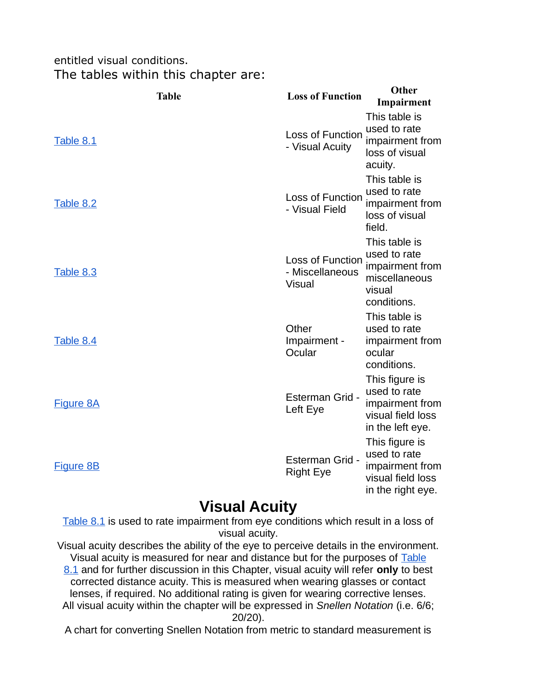### entitled visual conditions. The tables within this chapter are:

| <b>Table</b>     | <b>Loss of Function</b>                              | Other<br>Impairment                                                                         |
|------------------|------------------------------------------------------|---------------------------------------------------------------------------------------------|
| Table 8.1        | Loss of Function<br>- Visual Acuity                  | This table is<br>used to rate<br>impairment from<br>loss of visual<br>acuity.               |
| Table 8.2        | Loss of Function<br>- Visual Field                   | This table is<br>used to rate<br>impairment from<br>loss of visual<br>field.                |
| Table 8.3        | Loss of Function<br>- Miscellaneous<br><b>Visual</b> | This table is<br>used to rate<br>impairment from<br>miscellaneous<br>visual<br>conditions.  |
| Table 8.4        | Other<br>Impairment -<br>Ocular                      | This table is<br>used to rate<br>impairment from<br>ocular<br>conditions.                   |
| <b>Figure 8A</b> | Esterman Grid -<br>Left Eye                          | This figure is<br>used to rate<br>impairment from<br>visual field loss<br>in the left eye.  |
| <b>Figure 8B</b> | Esterman Grid -<br><b>Right Eye</b>                  | This figure is<br>used to rate<br>impairment from<br>visual field loss<br>in the right eye. |

# **Visual Acuity**

[Table 8.1](https://www.veterans.gc.ca/eng/health-support/physical-health-and-wellness/compensation-illness-injury/disability-benefits/benefits-determined/table-of-disabilities/ch-08-2006#t01) is used to rate impairment from eye conditions which result in a loss of visual acuity.

Visual acuity describes the ability of the eye to perceive details in the environment. Visual acuity is measured for near and distance but for the purposes of [Table](https://www.veterans.gc.ca/eng/health-support/physical-health-and-wellness/compensation-illness-injury/disability-benefits/benefits-determined/table-of-disabilities/ch-08-2006#t01) [8.1](https://www.veterans.gc.ca/eng/health-support/physical-health-and-wellness/compensation-illness-injury/disability-benefits/benefits-determined/table-of-disabilities/ch-08-2006#t01) and for further discussion in this Chapter, visual acuity will refer **only** to best corrected distance acuity. This is measured when wearing glasses or contact lenses, if required. No additional rating is given for wearing corrective lenses. All visual acuity within the chapter will be expressed in Snellen Notation (i.e. 6/6; 20/20).

A chart for converting Snellen Notation from metric to standard measurement is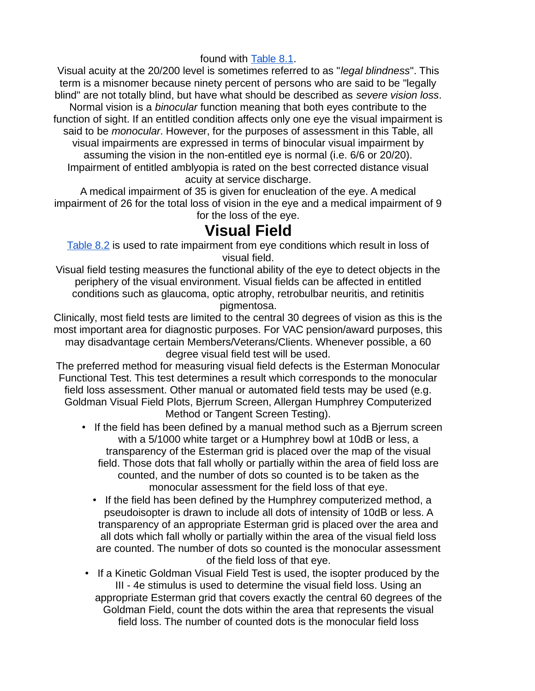#### found with [Table 8.1.](https://www.veterans.gc.ca/eng/health-support/physical-health-and-wellness/compensation-illness-injury/disability-benefits/benefits-determined/table-of-disabilities/ch-08-2006#t01)

Visual acuity at the 20/200 level is sometimes referred to as "legal blindness". This term is a misnomer because ninety percent of persons who are said to be "legally blind" are not totally blind, but have what should be described as severe vision loss. Normal vision is a binocular function meaning that both eyes contribute to the function of sight. If an entitled condition affects only one eye the visual impairment is said to be *monocular*. However, for the purposes of assessment in this Table, all visual impairments are expressed in terms of binocular visual impairment by assuming the vision in the non-entitled eye is normal (i.e. 6/6 or 20/20). Impairment of entitled amblyopia is rated on the best corrected distance visual acuity at service discharge.

A medical impairment of 35 is given for enucleation of the eye. A medical impairment of 26 for the total loss of vision in the eye and a medical impairment of 9 for the loss of the eye.

## **Visual Field**

[Table 8.2](https://www.veterans.gc.ca/eng/health-support/physical-health-and-wellness/compensation-illness-injury/disability-benefits/benefits-determined/table-of-disabilities/ch-08-2006#t02) is used to rate impairment from eye conditions which result in loss of visual field.

Visual field testing measures the functional ability of the eye to detect objects in the periphery of the visual environment. Visual fields can be affected in entitled conditions such as glaucoma, optic atrophy, retrobulbar neuritis, and retinitis pigmentosa.

Clinically, most field tests are limited to the central 30 degrees of vision as this is the most important area for diagnostic purposes. For VAC pension/award purposes, this may disadvantage certain Members/Veterans/Clients. Whenever possible, a 60 degree visual field test will be used.

The preferred method for measuring visual field defects is the Esterman Monocular Functional Test. This test determines a result which corresponds to the monocular field loss assessment. Other manual or automated field tests may be used (e.g. Goldman Visual Field Plots, Bjerrum Screen, Allergan Humphrey Computerized Method or Tangent Screen Testing).

- If the field has been defined by a manual method such as a Bjerrum screen with a 5/1000 white target or a Humphrey bowl at 10dB or less, a transparency of the Esterman grid is placed over the map of the visual field. Those dots that fall wholly or partially within the area of field loss are counted, and the number of dots so counted is to be taken as the monocular assessment for the field loss of that eye.
	- If the field has been defined by the Humphrey computerized method, a pseudoisopter is drawn to include all dots of intensity of 10dB or less. A transparency of an appropriate Esterman grid is placed over the area and all dots which fall wholly or partially within the area of the visual field loss are counted. The number of dots so counted is the monocular assessment of the field loss of that eye.
- If a Kinetic Goldman Visual Field Test is used, the isopter produced by the III - 4e stimulus is used to determine the visual field loss. Using an appropriate Esterman grid that covers exactly the central 60 degrees of the Goldman Field, count the dots within the area that represents the visual field loss. The number of counted dots is the monocular field loss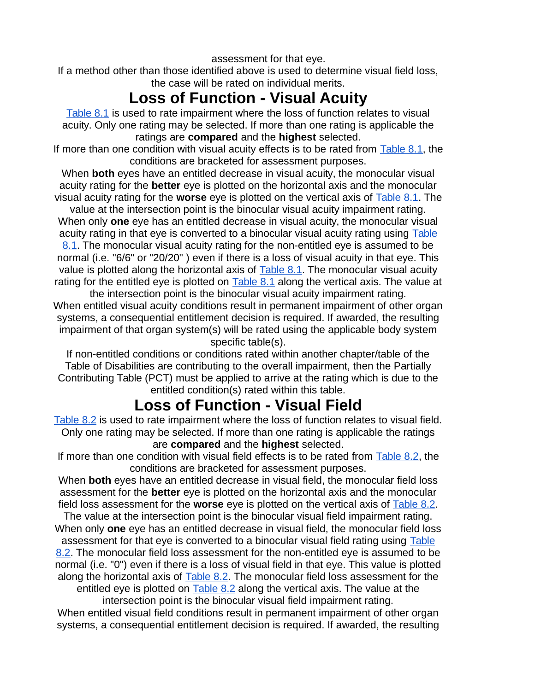assessment for that eye.

If a method other than those identified above is used to determine visual field loss, the case will be rated on individual merits.

# **Loss of Function - Visual Acuity**

[Table 8.1](https://www.veterans.gc.ca/eng/health-support/physical-health-and-wellness/compensation-illness-injury/disability-benefits/benefits-determined/table-of-disabilities/ch-08-2006#t01) is used to rate impairment where the loss of function relates to visual acuity. Only one rating may be selected. If more than one rating is applicable the ratings are **compared** and the **highest** selected.

If more than one condition with visual acuity effects is to be rated from [Table 8.1,](https://www.veterans.gc.ca/eng/health-support/physical-health-and-wellness/compensation-illness-injury/disability-benefits/benefits-determined/table-of-disabilities/ch-08-2006#t01) the conditions are bracketed for assessment purposes.

When **both** eyes have an entitled decrease in visual acuity, the monocular visual acuity rating for the **better** eye is plotted on the horizontal axis and the monocular visual acuity rating for the **worse** eye is plotted on the vertical axis of [Table 8.1.](https://www.veterans.gc.ca/eng/health-support/physical-health-and-wellness/compensation-illness-injury/disability-benefits/benefits-determined/table-of-disabilities/ch-08-2006#t01) The

value at the intersection point is the binocular visual acuity impairment rating. When only **one** eye has an entitled decrease in visual acuity, the monocular visual acuity rating in that eye is converted to a binocular visual acuity rating using [Table](https://www.veterans.gc.ca/eng/health-support/physical-health-and-wellness/compensation-illness-injury/disability-benefits/benefits-determined/table-of-disabilities/ch-08-2006#t01) [8.1.](https://www.veterans.gc.ca/eng/health-support/physical-health-and-wellness/compensation-illness-injury/disability-benefits/benefits-determined/table-of-disabilities/ch-08-2006#t01) The monocular visual acuity rating for the non-entitled eye is assumed to be normal (i.e. "6/6" or "20/20" ) even if there is a loss of visual acuity in that eye. This value is plotted along the horizontal axis of  $Table 8.1$ . The monocular visual acuity rating for the entitled eye is plotted on  $Table 8.1$  along the vertical axis. The value at the intersection point is the binocular visual acuity impairment rating.

When entitled visual acuity conditions result in permanent impairment of other organ systems, a consequential entitlement decision is required. If awarded, the resulting impairment of that organ system(s) will be rated using the applicable body system specific table(s).

If non-entitled conditions or conditions rated within another chapter/table of the Table of Disabilities are contributing to the overall impairment, then the Partially Contributing Table (PCT) must be applied to arrive at the rating which is due to the entitled condition(s) rated within this table.

# **Loss of Function - Visual Field**

[Table 8.2](https://www.veterans.gc.ca/eng/health-support/physical-health-and-wellness/compensation-illness-injury/disability-benefits/benefits-determined/table-of-disabilities/ch-08-2006#t02) is used to rate impairment where the loss of function relates to visual field. Only one rating may be selected. If more than one rating is applicable the ratings are **compared** and the **highest** selected.

If more than one condition with visual field effects is to be rated from [Table 8.2,](https://www.veterans.gc.ca/eng/health-support/physical-health-and-wellness/compensation-illness-injury/disability-benefits/benefits-determined/table-of-disabilities/ch-08-2006#t02) the conditions are bracketed for assessment purposes.

When **both** eyes have an entitled decrease in visual field, the monocular field loss assessment for the **better** eye is plotted on the horizontal axis and the monocular field loss assessment for the **worse** eye is plotted on the vertical axis of [Table 8.2.](https://www.veterans.gc.ca/eng/health-support/physical-health-and-wellness/compensation-illness-injury/disability-benefits/benefits-determined/table-of-disabilities/ch-08-2006#t02)

The value at the intersection point is the binocular visual field impairment rating. When only **one** eye has an entitled decrease in visual field, the monocular field loss assessment for that eye is converted to a binocular visual field rating using [Table](https://www.veterans.gc.ca/eng/health-support/physical-health-and-wellness/compensation-illness-injury/disability-benefits/benefits-determined/table-of-disabilities/ch-08-2006#t02) [8.2.](https://www.veterans.gc.ca/eng/health-support/physical-health-and-wellness/compensation-illness-injury/disability-benefits/benefits-determined/table-of-disabilities/ch-08-2006#t02) The monocular field loss assessment for the non-entitled eye is assumed to be normal (i.e. "0") even if there is a loss of visual field in that eye. This value is plotted along the horizontal axis of [Table 8.2.](https://www.veterans.gc.ca/eng/health-support/physical-health-and-wellness/compensation-illness-injury/disability-benefits/benefits-determined/table-of-disabilities/ch-08-2006#t02) The monocular field loss assessment for the entitled eye is plotted on  $Table 8.2$  along the vertical axis. The value at the

intersection point is the binocular visual field impairment rating.

When entitled visual field conditions result in permanent impairment of other organ systems, a consequential entitlement decision is required. If awarded, the resulting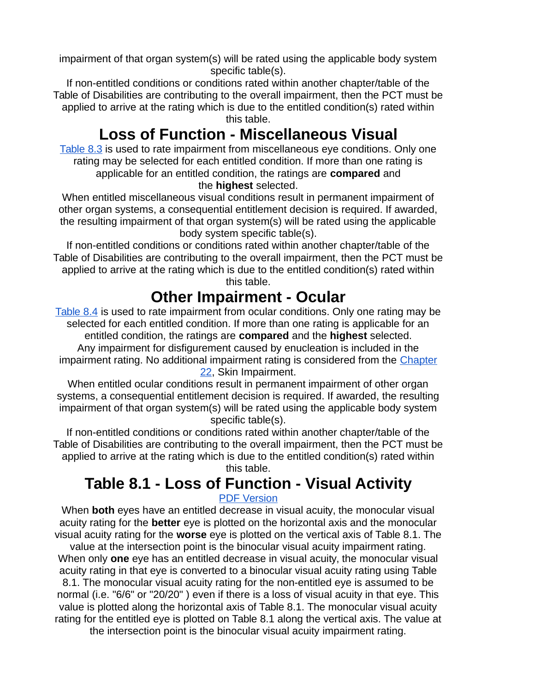impairment of that organ system(s) will be rated using the applicable body system specific table(s).

If non-entitled conditions or conditions rated within another chapter/table of the Table of Disabilities are contributing to the overall impairment, then the PCT must be applied to arrive at the rating which is due to the entitled condition(s) rated within this table.

# **Loss of Function - Miscellaneous Visual**

[Table 8.3](https://www.veterans.gc.ca/eng/health-support/physical-health-and-wellness/compensation-illness-injury/disability-benefits/benefits-determined/table-of-disabilities/ch-08-2006#t03) is used to rate impairment from miscellaneous eye conditions. Only one rating may be selected for each entitled condition. If more than one rating is applicable for an entitled condition, the ratings are **compared** and

#### the **highest** selected.

When entitled miscellaneous visual conditions result in permanent impairment of other organ systems, a consequential entitlement decision is required. If awarded, the resulting impairment of that organ system(s) will be rated using the applicable body system specific table(s).

If non-entitled conditions or conditions rated within another chapter/table of the Table of Disabilities are contributing to the overall impairment, then the PCT must be applied to arrive at the rating which is due to the entitled condition(s) rated within this table.

## **Other Impairment - Ocular**

[Table 8.4](https://www.veterans.gc.ca/eng/health-support/physical-health-and-wellness/compensation-illness-injury/disability-benefits/benefits-determined/table-of-disabilities/ch-08-2006#t04) is used to rate impairment from ocular conditions. Only one rating may be selected for each entitled condition. If more than one rating is applicable for an entitled condition, the ratings are **compared** and the **highest** selected. Any impairment for disfigurement caused by enucleation is included in the impairment rating. No additional impairment rating is considered from the [Chapter](https://www.veterans.gc.ca/eng/services/after-injury/disability-benefits/benefits-determined/table-of-disabilities/ch-22-2006) [22,](https://www.veterans.gc.ca/eng/services/after-injury/disability-benefits/benefits-determined/table-of-disabilities/ch-22-2006) Skin Impairment.

When entitled ocular conditions result in permanent impairment of other organ systems, a consequential entitlement decision is required. If awarded, the resulting impairment of that organ system(s) will be rated using the applicable body system specific table(s).

If non-entitled conditions or conditions rated within another chapter/table of the Table of Disabilities are contributing to the overall impairment, then the PCT must be applied to arrive at the rating which is due to the entitled condition(s) rated within

this table.

## **Table 8.1 - Loss of Function - Visual Activity**

#### [PDF Version](https://www.veterans.gc.ca/pdf/dispen/tod2006/8_1.pdf)

When **both** eyes have an entitled decrease in visual acuity, the monocular visual acuity rating for the **better** eye is plotted on the horizontal axis and the monocular visual acuity rating for the **worse** eye is plotted on the vertical axis of Table 8.1. The

value at the intersection point is the binocular visual acuity impairment rating. When only **one** eye has an entitled decrease in visual acuity, the monocular visual acuity rating in that eye is converted to a binocular visual acuity rating using Table

8.1. The monocular visual acuity rating for the non-entitled eye is assumed to be normal (i.e. "6/6" or "20/20" ) even if there is a loss of visual acuity in that eye. This value is plotted along the horizontal axis of Table 8.1. The monocular visual acuity rating for the entitled eye is plotted on Table 8.1 along the vertical axis. The value at

the intersection point is the binocular visual acuity impairment rating.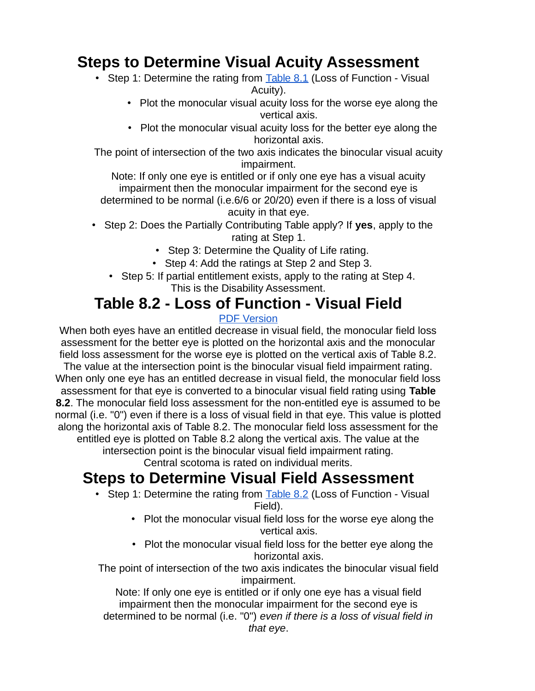## **Steps to Determine Visual Acuity Assessment**

- Step 1: Determine the rating from  $Table 8.1$  (Loss of Function Visual Acuity).
	- Plot the monocular visual acuity loss for the worse eye along the vertical axis.
	- Plot the monocular visual acuity loss for the better eye along the horizontal axis.

The point of intersection of the two axis indicates the binocular visual acuity impairment.

Note: If only one eye is entitled or if only one eye has a visual acuity impairment then the monocular impairment for the second eye is determined to be normal (i.e.6/6 or 20/20) even if there is a loss of visual acuity in that eye.

- Step 2: Does the Partially Contributing Table apply? If **yes**, apply to the rating at Step 1.
	- Step 3: Determine the Quality of Life rating.
	- Step 4: Add the ratings at Step 2 and Step 3.
	- Step 5: If partial entitlement exists, apply to the rating at Step 4. This is the Disability Assessment.

## **Table 8.2 - Loss of Function - Visual Field**

### [PDF Version](https://www.veterans.gc.ca/pdf/dispen/tod2006/8_2.pdf)

When both eyes have an entitled decrease in visual field, the monocular field loss assessment for the better eye is plotted on the horizontal axis and the monocular field loss assessment for the worse eye is plotted on the vertical axis of Table 8.2.

The value at the intersection point is the binocular visual field impairment rating. When only one eye has an entitled decrease in visual field, the monocular field loss assessment for that eye is converted to a binocular visual field rating using **Table 8.2**. The monocular field loss assessment for the non-entitled eye is assumed to be normal (i.e. "0") even if there is a loss of visual field in that eye. This value is plotted along the horizontal axis of Table 8.2. The monocular field loss assessment for the entitled eye is plotted on Table 8.2 along the vertical axis. The value at the

intersection point is the binocular visual field impairment rating.

Central scotoma is rated on individual merits.

# **Steps to Determine Visual Field Assessment**

- Step 1: Determine the rating from [Table 8.2](https://www.veterans.gc.ca/eng/health-support/physical-health-and-wellness/compensation-illness-injury/disability-benefits/benefits-determined/table-of-disabilities/ch-08-2006#t02) (Loss of Function Visual Field).
	- Plot the monocular visual field loss for the worse eye along the vertical axis.
	- Plot the monocular visual field loss for the better eye along the horizontal axis.

The point of intersection of the two axis indicates the binocular visual field impairment.

Note: If only one eye is entitled or if only one eye has a visual field impairment then the monocular impairment for the second eye is determined to be normal (i.e. "0") even if there is a loss of visual field in that eye.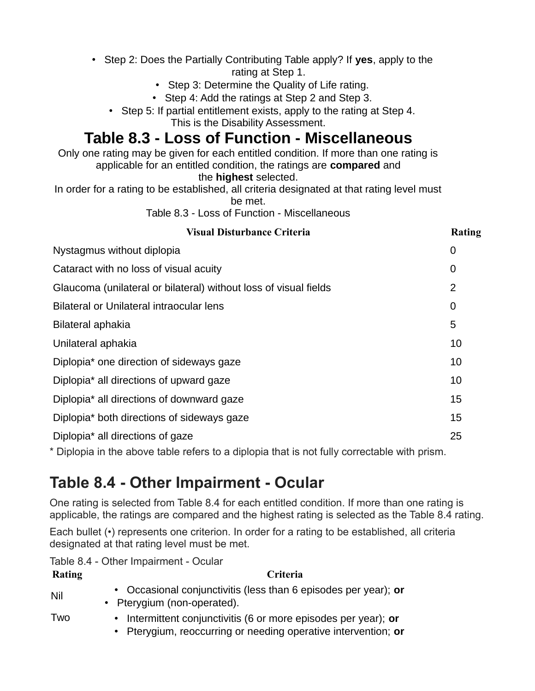- Step 2: Does the Partially Contributing Table apply? If **yes**, apply to the rating at Step 1.
	- Step 3: Determine the Quality of Life rating.
	- Step 4: Add the ratings at Step 2 and Step 3.
	- Step 5: If partial entitlement exists, apply to the rating at Step 4.

This is the Disability Assessment.

## **Table 8.3 - Loss of Function - Miscellaneous**

Only one rating may be given for each entitled condition. If more than one rating is applicable for an entitled condition, the ratings are **compared** and the **highest** selected.

In order for a rating to be established, all criteria designated at that rating level must be met.

Table 8.3 - Loss of Function - Miscellaneous

| <b>Visual Disturbance Criteria</b>                               | Rating |
|------------------------------------------------------------------|--------|
| Nystagmus without diplopia                                       | 0      |
| Cataract with no loss of visual acuity                           | 0      |
| Glaucoma (unilateral or bilateral) without loss of visual fields | 2      |
| <b>Bilateral or Unilateral intraocular lens</b>                  | 0      |
| Bilateral aphakia                                                | 5      |
| Unilateral aphakia                                               | 10     |
| Diplopia* one direction of sideways gaze                         | 10     |
| Diplopia* all directions of upward gaze                          | 10     |
| Diplopia* all directions of downward gaze                        | 15     |
| Diplopia* both directions of sideways gaze                       | 15     |
| Diplopia* all directions of gaze                                 | 25     |

\* Diplopia in the above table refers to a diplopia that is not fully correctable with prism.

# **Table 8.4 - Other Impairment - Ocular**

One rating is selected from Table 8.4 for each entitled condition. If more than one rating is applicable, the ratings are compared and the highest rating is selected as the Table 8.4 rating.

Each bullet (•) represents one criterion. In order for a rating to be established, all criteria designated at that rating level must be met.

Table 8.4 - Other Impairment - Ocular

| Rating | Criteria                                                                                                                          |
|--------|-----------------------------------------------------------------------------------------------------------------------------------|
| Nil    | • Occasional conjunctivitis (less than 6 episodes per year); or<br>• Pterygium (non-operated).                                    |
| Two    | • Intermittent conjunctivitis (6 or more episodes per year); or<br>• Pterygium, reoccurring or needing operative intervention; or |